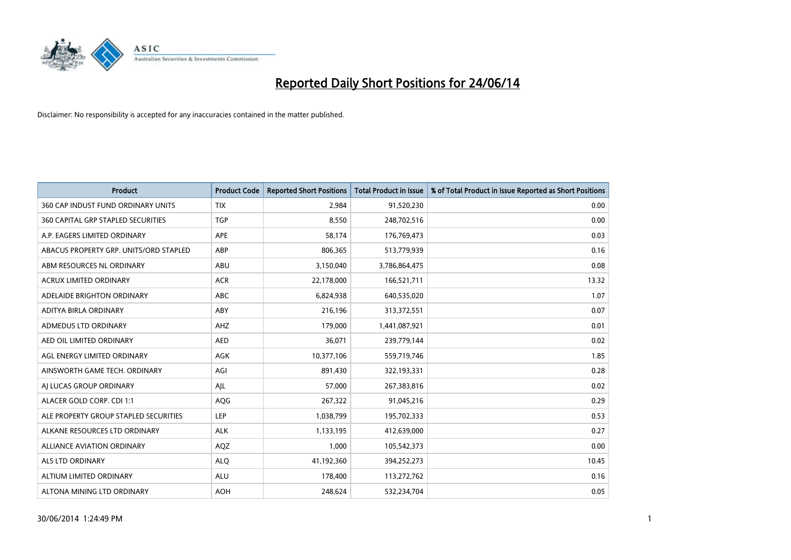

| <b>Product</b>                         | <b>Product Code</b> | <b>Reported Short Positions</b> | <b>Total Product in Issue</b> | % of Total Product in Issue Reported as Short Positions |
|----------------------------------------|---------------------|---------------------------------|-------------------------------|---------------------------------------------------------|
| 360 CAP INDUST FUND ORDINARY UNITS     | <b>TIX</b>          | 2,984                           | 91,520,230                    | 0.00                                                    |
| 360 CAPITAL GRP STAPLED SECURITIES     | <b>TGP</b>          | 8,550                           | 248,702,516                   | 0.00                                                    |
| A.P. EAGERS LIMITED ORDINARY           | APE                 | 58.174                          | 176,769,473                   | 0.03                                                    |
| ABACUS PROPERTY GRP. UNITS/ORD STAPLED | ABP                 | 806,365                         | 513,779,939                   | 0.16                                                    |
| ABM RESOURCES NL ORDINARY              | ABU                 | 3,150,040                       | 3,786,864,475                 | 0.08                                                    |
| <b>ACRUX LIMITED ORDINARY</b>          | <b>ACR</b>          | 22,178,000                      | 166,521,711                   | 13.32                                                   |
| ADELAIDE BRIGHTON ORDINARY             | <b>ABC</b>          | 6,824,938                       | 640,535,020                   | 1.07                                                    |
| ADITYA BIRLA ORDINARY                  | ABY                 | 216,196                         | 313,372,551                   | 0.07                                                    |
| ADMEDUS LTD ORDINARY                   | AHZ                 | 179,000                         | 1,441,087,921                 | 0.01                                                    |
| AED OIL LIMITED ORDINARY               | <b>AED</b>          | 36,071                          | 239,779,144                   | 0.02                                                    |
| AGL ENERGY LIMITED ORDINARY            | AGK                 | 10,377,106                      | 559,719,746                   | 1.85                                                    |
| AINSWORTH GAME TECH. ORDINARY          | AGI                 | 891,430                         | 322,193,331                   | 0.28                                                    |
| AI LUCAS GROUP ORDINARY                | AJL                 | 57,000                          | 267,383,816                   | 0.02                                                    |
| ALACER GOLD CORP. CDI 1:1              | AQG                 | 267,322                         | 91,045,216                    | 0.29                                                    |
| ALE PROPERTY GROUP STAPLED SECURITIES  | LEP                 | 1,038,799                       | 195,702,333                   | 0.53                                                    |
| ALKANE RESOURCES LTD ORDINARY          | <b>ALK</b>          | 1,133,195                       | 412,639,000                   | 0.27                                                    |
| ALLIANCE AVIATION ORDINARY             | AQZ                 | 1,000                           | 105,542,373                   | 0.00                                                    |
| <b>ALS LTD ORDINARY</b>                | <b>ALQ</b>          | 41,192,360                      | 394,252,273                   | 10.45                                                   |
| ALTIUM LIMITED ORDINARY                | <b>ALU</b>          | 178,400                         | 113,272,762                   | 0.16                                                    |
| ALTONA MINING LTD ORDINARY             | <b>AOH</b>          | 248,624                         | 532,234,704                   | 0.05                                                    |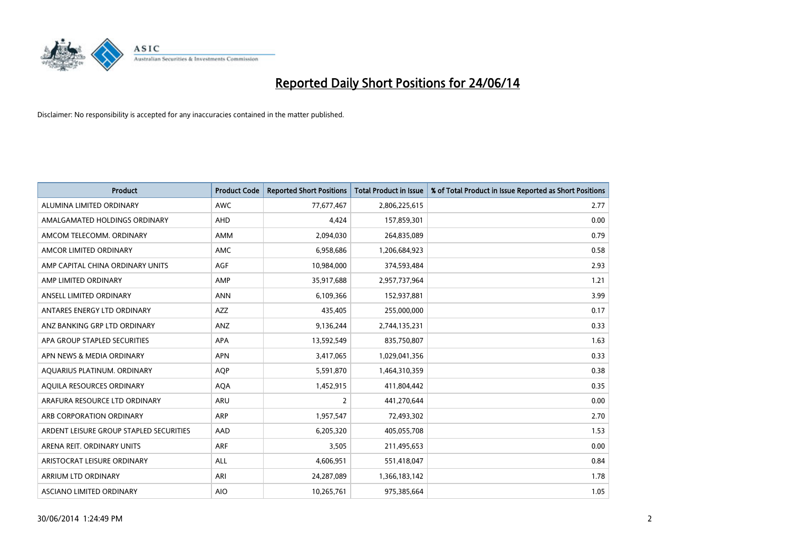

| <b>Product</b>                          | <b>Product Code</b> | <b>Reported Short Positions</b> | <b>Total Product in Issue</b> | % of Total Product in Issue Reported as Short Positions |
|-----------------------------------------|---------------------|---------------------------------|-------------------------------|---------------------------------------------------------|
| ALUMINA LIMITED ORDINARY                | <b>AWC</b>          | 77,677,467                      | 2,806,225,615                 | 2.77                                                    |
| AMALGAMATED HOLDINGS ORDINARY           | <b>AHD</b>          | 4,424                           | 157,859,301                   | 0.00                                                    |
| AMCOM TELECOMM. ORDINARY                | AMM                 | 2,094,030                       | 264,835,089                   | 0.79                                                    |
| AMCOR LIMITED ORDINARY                  | AMC                 | 6,958,686                       | 1,206,684,923                 | 0.58                                                    |
| AMP CAPITAL CHINA ORDINARY UNITS        | <b>AGF</b>          | 10,984,000                      | 374,593,484                   | 2.93                                                    |
| AMP LIMITED ORDINARY                    | AMP                 | 35,917,688                      | 2,957,737,964                 | 1.21                                                    |
| ANSELL LIMITED ORDINARY                 | <b>ANN</b>          | 6,109,366                       | 152,937,881                   | 3.99                                                    |
| ANTARES ENERGY LTD ORDINARY             | <b>AZZ</b>          | 435,405                         | 255,000,000                   | 0.17                                                    |
| ANZ BANKING GRP LTD ORDINARY            | ANZ                 | 9,136,244                       | 2,744,135,231                 | 0.33                                                    |
| APA GROUP STAPLED SECURITIES            | <b>APA</b>          | 13,592,549                      | 835,750,807                   | 1.63                                                    |
| APN NEWS & MEDIA ORDINARY               | <b>APN</b>          | 3,417,065                       | 1,029,041,356                 | 0.33                                                    |
| AQUARIUS PLATINUM. ORDINARY             | <b>AOP</b>          | 5,591,870                       | 1,464,310,359                 | 0.38                                                    |
| AQUILA RESOURCES ORDINARY               | <b>AQA</b>          | 1,452,915                       | 411,804,442                   | 0.35                                                    |
| ARAFURA RESOURCE LTD ORDINARY           | <b>ARU</b>          | 2                               | 441,270,644                   | 0.00                                                    |
| ARB CORPORATION ORDINARY                | <b>ARP</b>          | 1,957,547                       | 72,493,302                    | 2.70                                                    |
| ARDENT LEISURE GROUP STAPLED SECURITIES | AAD                 | 6,205,320                       | 405,055,708                   | 1.53                                                    |
| ARENA REIT. ORDINARY UNITS              | <b>ARF</b>          | 3,505                           | 211,495,653                   | 0.00                                                    |
| ARISTOCRAT LEISURE ORDINARY             | <b>ALL</b>          | 4,606,951                       | 551,418,047                   | 0.84                                                    |
| ARRIUM LTD ORDINARY                     | ARI                 | 24,287,089                      | 1,366,183,142                 | 1.78                                                    |
| ASCIANO LIMITED ORDINARY                | <b>AIO</b>          | 10,265,761                      | 975,385,664                   | 1.05                                                    |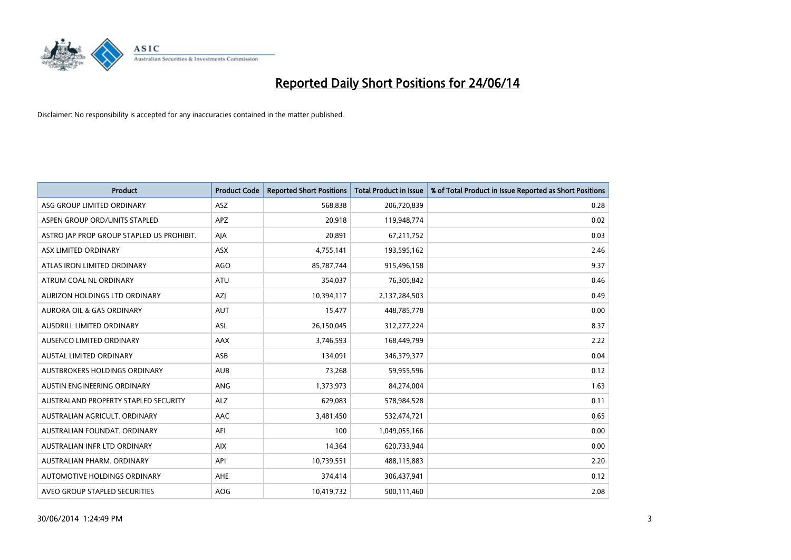

| <b>Product</b>                            | <b>Product Code</b> | <b>Reported Short Positions</b> | <b>Total Product in Issue</b> | % of Total Product in Issue Reported as Short Positions |
|-------------------------------------------|---------------------|---------------------------------|-------------------------------|---------------------------------------------------------|
| ASG GROUP LIMITED ORDINARY                | ASZ                 | 568,838                         | 206,720,839                   | 0.28                                                    |
| ASPEN GROUP ORD/UNITS STAPLED             | APZ                 | 20,918                          | 119,948,774                   | 0.02                                                    |
| ASTRO JAP PROP GROUP STAPLED US PROHIBIT. | AJA                 | 20,891                          | 67,211,752                    | 0.03                                                    |
| ASX LIMITED ORDINARY                      | ASX                 | 4,755,141                       | 193,595,162                   | 2.46                                                    |
| ATLAS IRON LIMITED ORDINARY               | <b>AGO</b>          | 85,787,744                      | 915,496,158                   | 9.37                                                    |
| ATRUM COAL NL ORDINARY                    | ATU                 | 354,037                         | 76,305,842                    | 0.46                                                    |
| AURIZON HOLDINGS LTD ORDINARY             | AZJ                 | 10,394,117                      | 2,137,284,503                 | 0.49                                                    |
| AURORA OIL & GAS ORDINARY                 | <b>AUT</b>          | 15,477                          | 448,785,778                   | 0.00                                                    |
| AUSDRILL LIMITED ORDINARY                 | <b>ASL</b>          | 26,150,045                      | 312,277,224                   | 8.37                                                    |
| AUSENCO LIMITED ORDINARY                  | AAX                 | 3,746,593                       | 168,449,799                   | 2.22                                                    |
| AUSTAL LIMITED ORDINARY                   | ASB                 | 134,091                         | 346,379,377                   | 0.04                                                    |
| AUSTBROKERS HOLDINGS ORDINARY             | <b>AUB</b>          | 73,268                          | 59,955,596                    | 0.12                                                    |
| AUSTIN ENGINEERING ORDINARY               | ANG                 | 1,373,973                       | 84,274,004                    | 1.63                                                    |
| AUSTRALAND PROPERTY STAPLED SECURITY      | <b>ALZ</b>          | 629,083                         | 578,984,528                   | 0.11                                                    |
| AUSTRALIAN AGRICULT, ORDINARY             | <b>AAC</b>          | 3,481,450                       | 532,474,721                   | 0.65                                                    |
| AUSTRALIAN FOUNDAT. ORDINARY              | AFI                 | 100                             | 1,049,055,166                 | 0.00                                                    |
| AUSTRALIAN INFR LTD ORDINARY              | <b>AIX</b>          | 14,364                          | 620,733,944                   | 0.00                                                    |
| AUSTRALIAN PHARM. ORDINARY                | API                 | 10,739,551                      | 488,115,883                   | 2.20                                                    |
| AUTOMOTIVE HOLDINGS ORDINARY              | AHE                 | 374,414                         | 306,437,941                   | 0.12                                                    |
| AVEO GROUP STAPLED SECURITIES             | AOG                 | 10,419,732                      | 500,111,460                   | 2.08                                                    |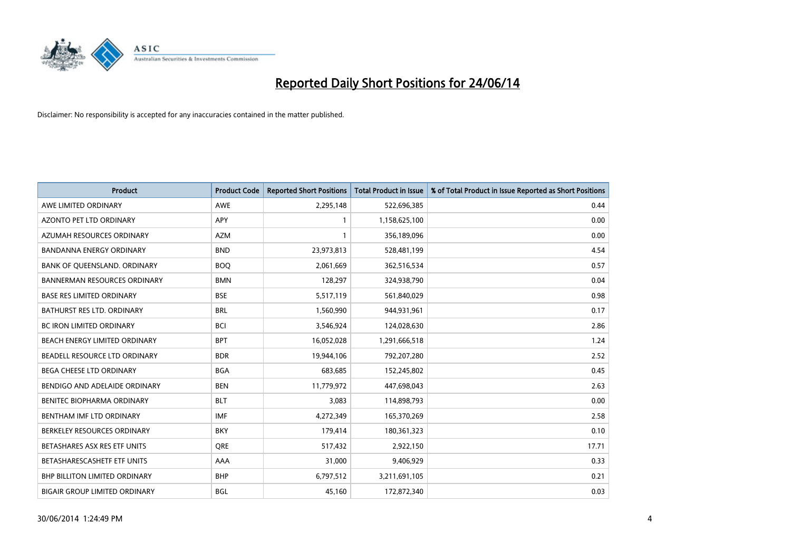

| <b>Product</b>                       | <b>Product Code</b> | <b>Reported Short Positions</b> | <b>Total Product in Issue</b> | % of Total Product in Issue Reported as Short Positions |
|--------------------------------------|---------------------|---------------------------------|-------------------------------|---------------------------------------------------------|
| AWE LIMITED ORDINARY                 | <b>AWE</b>          | 2,295,148                       | 522,696,385                   | 0.44                                                    |
| AZONTO PET LTD ORDINARY              | <b>APY</b>          | 1                               | 1,158,625,100                 | 0.00                                                    |
| AZUMAH RESOURCES ORDINARY            | <b>AZM</b>          | $\mathbf{1}$                    | 356,189,096                   | 0.00                                                    |
| BANDANNA ENERGY ORDINARY             | <b>BND</b>          | 23,973,813                      | 528,481,199                   | 4.54                                                    |
| BANK OF QUEENSLAND. ORDINARY         | <b>BOQ</b>          | 2,061,669                       | 362,516,534                   | 0.57                                                    |
| <b>BANNERMAN RESOURCES ORDINARY</b>  | <b>BMN</b>          | 128,297                         | 324,938,790                   | 0.04                                                    |
| <b>BASE RES LIMITED ORDINARY</b>     | <b>BSE</b>          | 5,517,119                       | 561,840,029                   | 0.98                                                    |
| BATHURST RES LTD. ORDINARY           | <b>BRL</b>          | 1,560,990                       | 944,931,961                   | 0.17                                                    |
| BC IRON LIMITED ORDINARY             | <b>BCI</b>          | 3,546,924                       | 124,028,630                   | 2.86                                                    |
| BEACH ENERGY LIMITED ORDINARY        | <b>BPT</b>          | 16,052,028                      | 1,291,666,518                 | 1.24                                                    |
| BEADELL RESOURCE LTD ORDINARY        | <b>BDR</b>          | 19,944,106                      | 792,207,280                   | 2.52                                                    |
| <b>BEGA CHEESE LTD ORDINARY</b>      | <b>BGA</b>          | 683,685                         | 152,245,802                   | 0.45                                                    |
| BENDIGO AND ADELAIDE ORDINARY        | <b>BEN</b>          | 11,779,972                      | 447,698,043                   | 2.63                                                    |
| BENITEC BIOPHARMA ORDINARY           | <b>BLT</b>          | 3,083                           | 114,898,793                   | 0.00                                                    |
| BENTHAM IMF LTD ORDINARY             | <b>IMF</b>          | 4,272,349                       | 165,370,269                   | 2.58                                                    |
| BERKELEY RESOURCES ORDINARY          | <b>BKY</b>          | 179,414                         | 180,361,323                   | 0.10                                                    |
| BETASHARES ASX RES ETF UNITS         | <b>ORE</b>          | 517,432                         | 2,922,150                     | 17.71                                                   |
| BETASHARESCASHETF ETF UNITS          | AAA                 | 31,000                          | 9,406,929                     | 0.33                                                    |
| BHP BILLITON LIMITED ORDINARY        | <b>BHP</b>          | 6,797,512                       | 3,211,691,105                 | 0.21                                                    |
| <b>BIGAIR GROUP LIMITED ORDINARY</b> | <b>BGL</b>          | 45,160                          | 172,872,340                   | 0.03                                                    |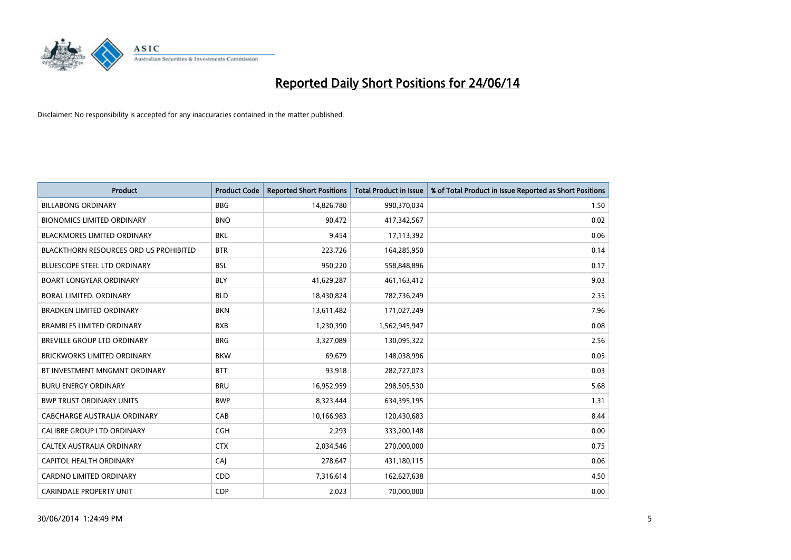

| <b>Product</b>                         | <b>Product Code</b> | <b>Reported Short Positions</b> | <b>Total Product in Issue</b> | % of Total Product in Issue Reported as Short Positions |
|----------------------------------------|---------------------|---------------------------------|-------------------------------|---------------------------------------------------------|
| <b>BILLABONG ORDINARY</b>              | <b>BBG</b>          | 14,826,780                      | 990,370,034                   | 1.50                                                    |
| <b>BIONOMICS LIMITED ORDINARY</b>      | <b>BNO</b>          | 90,472                          | 417,342,567                   | 0.02                                                    |
| <b>BLACKMORES LIMITED ORDINARY</b>     | <b>BKL</b>          | 9,454                           | 17,113,392                    | 0.06                                                    |
| BLACKTHORN RESOURCES ORD US PROHIBITED | <b>BTR</b>          | 223,726                         | 164,285,950                   | 0.14                                                    |
| <b>BLUESCOPE STEEL LTD ORDINARY</b>    | <b>BSL</b>          | 950,220                         | 558,848,896                   | 0.17                                                    |
| <b>BOART LONGYEAR ORDINARY</b>         | <b>BLY</b>          | 41,629,287                      | 461, 163, 412                 | 9.03                                                    |
| BORAL LIMITED, ORDINARY                | <b>BLD</b>          | 18,430,824                      | 782,736,249                   | 2.35                                                    |
| <b>BRADKEN LIMITED ORDINARY</b>        | <b>BKN</b>          | 13,611,482                      | 171,027,249                   | 7.96                                                    |
| <b>BRAMBLES LIMITED ORDINARY</b>       | <b>BXB</b>          | 1,230,390                       | 1,562,945,947                 | 0.08                                                    |
| <b>BREVILLE GROUP LTD ORDINARY</b>     | <b>BRG</b>          | 3,327,089                       | 130,095,322                   | 2.56                                                    |
| <b>BRICKWORKS LIMITED ORDINARY</b>     | <b>BKW</b>          | 69,679                          | 148,038,996                   | 0.05                                                    |
| BT INVESTMENT MNGMNT ORDINARY          | <b>BTT</b>          | 93,918                          | 282,727,073                   | 0.03                                                    |
| <b>BURU ENERGY ORDINARY</b>            | <b>BRU</b>          | 16,952,959                      | 298,505,530                   | 5.68                                                    |
| <b>BWP TRUST ORDINARY UNITS</b>        | <b>BWP</b>          | 8,323,444                       | 634,395,195                   | 1.31                                                    |
| <b>CABCHARGE AUSTRALIA ORDINARY</b>    | CAB                 | 10,166,983                      | 120,430,683                   | 8.44                                                    |
| CALIBRE GROUP LTD ORDINARY             | <b>CGH</b>          | 2,293                           | 333,200,148                   | 0.00                                                    |
| CALTEX AUSTRALIA ORDINARY              | <b>CTX</b>          | 2,034,546                       | 270,000,000                   | 0.75                                                    |
| CAPITOL HEALTH ORDINARY                | CAJ                 | 278,647                         | 431,180,115                   | 0.06                                                    |
| <b>CARDNO LIMITED ORDINARY</b>         | CDD                 | 7,316,614                       | 162,627,638                   | 4.50                                                    |
| <b>CARINDALE PROPERTY UNIT</b>         | <b>CDP</b>          | 2,023                           | 70,000,000                    | 0.00                                                    |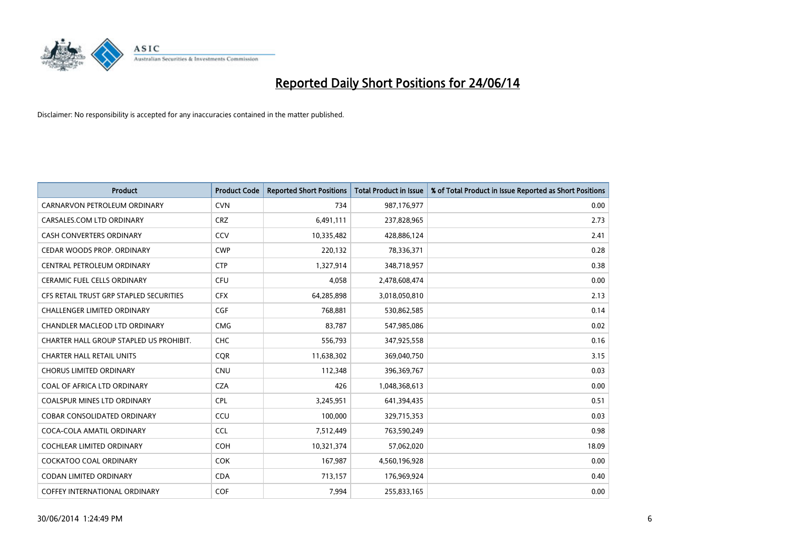

| <b>Product</b>                          | <b>Product Code</b> | <b>Reported Short Positions</b> | <b>Total Product in Issue</b> | % of Total Product in Issue Reported as Short Positions |
|-----------------------------------------|---------------------|---------------------------------|-------------------------------|---------------------------------------------------------|
| CARNARVON PETROLEUM ORDINARY            | <b>CVN</b>          | 734                             | 987,176,977                   | 0.00                                                    |
| CARSALES.COM LTD ORDINARY               | <b>CRZ</b>          | 6,491,111                       | 237,828,965                   | 2.73                                                    |
| CASH CONVERTERS ORDINARY                | CCV                 | 10,335,482                      | 428,886,124                   | 2.41                                                    |
| CEDAR WOODS PROP. ORDINARY              | <b>CWP</b>          | 220,132                         | 78,336,371                    | 0.28                                                    |
| CENTRAL PETROLEUM ORDINARY              | <b>CTP</b>          | 1,327,914                       | 348,718,957                   | 0.38                                                    |
| <b>CERAMIC FUEL CELLS ORDINARY</b>      | <b>CFU</b>          | 4,058                           | 2,478,608,474                 | 0.00                                                    |
| CFS RETAIL TRUST GRP STAPLED SECURITIES | <b>CFX</b>          | 64,285,898                      | 3,018,050,810                 | 2.13                                                    |
| CHALLENGER LIMITED ORDINARY             | <b>CGF</b>          | 768,881                         | 530,862,585                   | 0.14                                                    |
| <b>CHANDLER MACLEOD LTD ORDINARY</b>    | <b>CMG</b>          | 83.787                          | 547,985,086                   | 0.02                                                    |
| CHARTER HALL GROUP STAPLED US PROHIBIT. | <b>CHC</b>          | 556,793                         | 347,925,558                   | 0.16                                                    |
| <b>CHARTER HALL RETAIL UNITS</b>        | <b>COR</b>          | 11,638,302                      | 369,040,750                   | 3.15                                                    |
| <b>CHORUS LIMITED ORDINARY</b>          | <b>CNU</b>          | 112,348                         | 396,369,767                   | 0.03                                                    |
| COAL OF AFRICA LTD ORDINARY             | <b>CZA</b>          | 426                             | 1,048,368,613                 | 0.00                                                    |
| <b>COALSPUR MINES LTD ORDINARY</b>      | <b>CPL</b>          | 3,245,951                       | 641,394,435                   | 0.51                                                    |
| <b>COBAR CONSOLIDATED ORDINARY</b>      | CCU                 | 100,000                         | 329,715,353                   | 0.03                                                    |
| COCA-COLA AMATIL ORDINARY               | <b>CCL</b>          | 7,512,449                       | 763,590,249                   | 0.98                                                    |
| <b>COCHLEAR LIMITED ORDINARY</b>        | <b>COH</b>          | 10,321,374                      | 57,062,020                    | 18.09                                                   |
| <b>COCKATOO COAL ORDINARY</b>           | <b>COK</b>          | 167,987                         | 4,560,196,928                 | 0.00                                                    |
| <b>CODAN LIMITED ORDINARY</b>           | <b>CDA</b>          | 713,157                         | 176,969,924                   | 0.40                                                    |
| COFFEY INTERNATIONAL ORDINARY           | <b>COF</b>          | 7,994                           | 255,833,165                   | 0.00                                                    |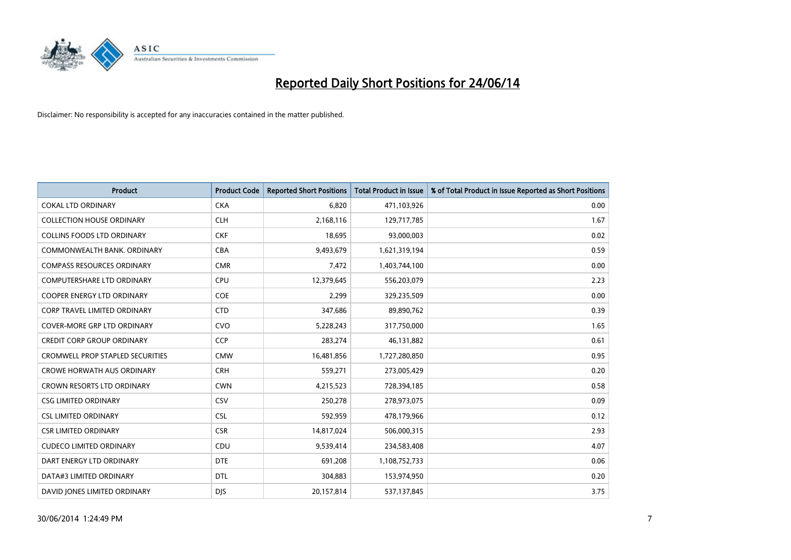

| Product                                 | <b>Product Code</b> | <b>Reported Short Positions</b> | <b>Total Product in Issue</b> | % of Total Product in Issue Reported as Short Positions |
|-----------------------------------------|---------------------|---------------------------------|-------------------------------|---------------------------------------------------------|
| <b>COKAL LTD ORDINARY</b>               | <b>CKA</b>          | 6,820                           | 471,103,926                   | 0.00                                                    |
| <b>COLLECTION HOUSE ORDINARY</b>        | <b>CLH</b>          | 2,168,116                       | 129,717,785                   | 1.67                                                    |
| <b>COLLINS FOODS LTD ORDINARY</b>       | <b>CKF</b>          | 18,695                          | 93,000,003                    | 0.02                                                    |
| COMMONWEALTH BANK, ORDINARY             | <b>CBA</b>          | 9,493,679                       | 1,621,319,194                 | 0.59                                                    |
| <b>COMPASS RESOURCES ORDINARY</b>       | <b>CMR</b>          | 7,472                           | 1,403,744,100                 | 0.00                                                    |
| <b>COMPUTERSHARE LTD ORDINARY</b>       | <b>CPU</b>          | 12,379,645                      | 556,203,079                   | 2.23                                                    |
| <b>COOPER ENERGY LTD ORDINARY</b>       | <b>COE</b>          | 2,299                           | 329,235,509                   | 0.00                                                    |
| <b>CORP TRAVEL LIMITED ORDINARY</b>     | <b>CTD</b>          | 347,686                         | 89,890,762                    | 0.39                                                    |
| COVER-MORE GRP LTD ORDINARY             | <b>CVO</b>          | 5,228,243                       | 317,750,000                   | 1.65                                                    |
| <b>CREDIT CORP GROUP ORDINARY</b>       | <b>CCP</b>          | 283,274                         | 46,131,882                    | 0.61                                                    |
| <b>CROMWELL PROP STAPLED SECURITIES</b> | <b>CMW</b>          | 16,481,856                      | 1,727,280,850                 | 0.95                                                    |
| <b>CROWE HORWATH AUS ORDINARY</b>       | <b>CRH</b>          | 559,271                         | 273,005,429                   | 0.20                                                    |
| CROWN RESORTS LTD ORDINARY              | <b>CWN</b>          | 4,215,523                       | 728,394,185                   | 0.58                                                    |
| <b>CSG LIMITED ORDINARY</b>             | CSV                 | 250,278                         | 278,973,075                   | 0.09                                                    |
| <b>CSL LIMITED ORDINARY</b>             | <b>CSL</b>          | 592,959                         | 478,179,966                   | 0.12                                                    |
| <b>CSR LIMITED ORDINARY</b>             | <b>CSR</b>          | 14,817,024                      | 506,000,315                   | 2.93                                                    |
| <b>CUDECO LIMITED ORDINARY</b>          | CDU                 | 9,539,414                       | 234,583,408                   | 4.07                                                    |
| DART ENERGY LTD ORDINARY                | <b>DTE</b>          | 691,208                         | 1,108,752,733                 | 0.06                                                    |
| DATA#3 LIMITED ORDINARY                 | <b>DTL</b>          | 304,883                         | 153,974,950                   | 0.20                                                    |
| DAVID JONES LIMITED ORDINARY            | <b>DJS</b>          | 20,157,814                      | 537,137,845                   | 3.75                                                    |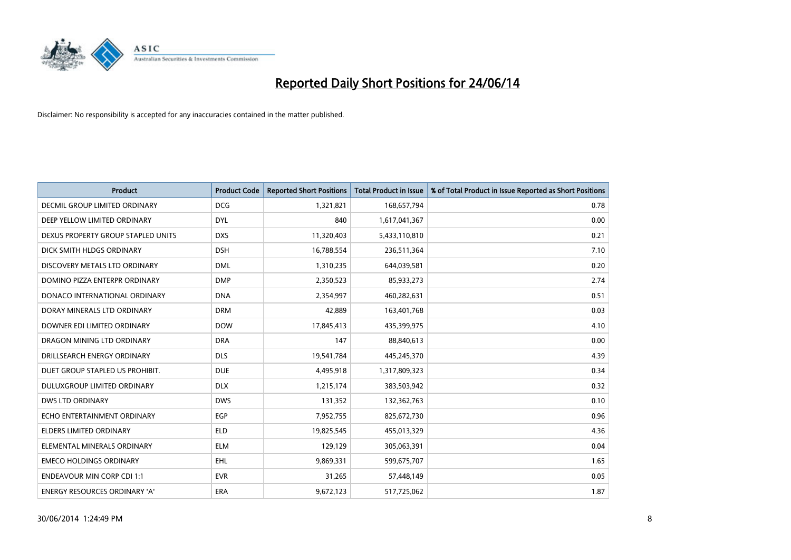

| <b>Product</b>                       | <b>Product Code</b> | <b>Reported Short Positions</b> | <b>Total Product in Issue</b> | % of Total Product in Issue Reported as Short Positions |
|--------------------------------------|---------------------|---------------------------------|-------------------------------|---------------------------------------------------------|
| <b>DECMIL GROUP LIMITED ORDINARY</b> | <b>DCG</b>          | 1,321,821                       | 168,657,794                   | 0.78                                                    |
| DEEP YELLOW LIMITED ORDINARY         | <b>DYL</b>          | 840                             | 1,617,041,367                 | 0.00                                                    |
| DEXUS PROPERTY GROUP STAPLED UNITS   | <b>DXS</b>          | 11,320,403                      | 5,433,110,810                 | 0.21                                                    |
| DICK SMITH HLDGS ORDINARY            | <b>DSH</b>          | 16,788,554                      | 236,511,364                   | 7.10                                                    |
| DISCOVERY METALS LTD ORDINARY        | <b>DML</b>          | 1,310,235                       | 644,039,581                   | 0.20                                                    |
| DOMINO PIZZA ENTERPR ORDINARY        | <b>DMP</b>          | 2,350,523                       | 85,933,273                    | 2.74                                                    |
| DONACO INTERNATIONAL ORDINARY        | <b>DNA</b>          | 2,354,997                       | 460,282,631                   | 0.51                                                    |
| DORAY MINERALS LTD ORDINARY          | <b>DRM</b>          | 42,889                          | 163,401,768                   | 0.03                                                    |
| DOWNER EDI LIMITED ORDINARY          | <b>DOW</b>          | 17,845,413                      | 435,399,975                   | 4.10                                                    |
| DRAGON MINING LTD ORDINARY           | <b>DRA</b>          | 147                             | 88,840,613                    | 0.00                                                    |
| DRILLSEARCH ENERGY ORDINARY          | <b>DLS</b>          | 19,541,784                      | 445,245,370                   | 4.39                                                    |
| DUET GROUP STAPLED US PROHIBIT.      | <b>DUE</b>          | 4,495,918                       | 1,317,809,323                 | 0.34                                                    |
| DULUXGROUP LIMITED ORDINARY          | <b>DLX</b>          | 1,215,174                       | 383,503,942                   | 0.32                                                    |
| <b>DWS LTD ORDINARY</b>              | <b>DWS</b>          | 131,352                         | 132,362,763                   | 0.10                                                    |
| ECHO ENTERTAINMENT ORDINARY          | EGP                 | 7,952,755                       | 825,672,730                   | 0.96                                                    |
| ELDERS LIMITED ORDINARY              | <b>ELD</b>          | 19,825,545                      | 455,013,329                   | 4.36                                                    |
| ELEMENTAL MINERALS ORDINARY          | <b>ELM</b>          | 129,129                         | 305,063,391                   | 0.04                                                    |
| <b>EMECO HOLDINGS ORDINARY</b>       | <b>EHL</b>          | 9,869,331                       | 599,675,707                   | 1.65                                                    |
| <b>ENDEAVOUR MIN CORP CDI 1:1</b>    | <b>EVR</b>          | 31,265                          | 57,448,149                    | 0.05                                                    |
| ENERGY RESOURCES ORDINARY 'A'        | ERA                 | 9,672,123                       | 517,725,062                   | 1.87                                                    |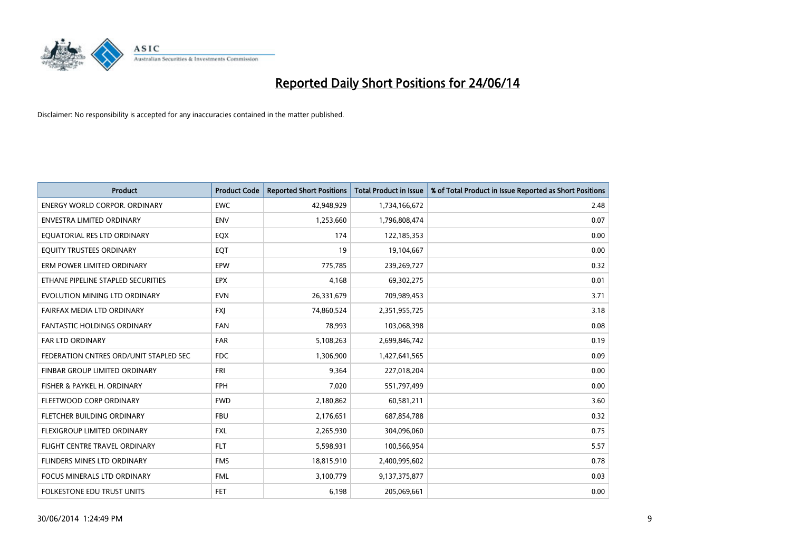

| <b>Product</b>                         | <b>Product Code</b> | <b>Reported Short Positions</b> | <b>Total Product in Issue</b> | % of Total Product in Issue Reported as Short Positions |
|----------------------------------------|---------------------|---------------------------------|-------------------------------|---------------------------------------------------------|
| <b>ENERGY WORLD CORPOR, ORDINARY</b>   | <b>EWC</b>          | 42,948,929                      | 1,734,166,672                 | 2.48                                                    |
| ENVESTRA LIMITED ORDINARY              | <b>ENV</b>          | 1,253,660                       | 1,796,808,474                 | 0.07                                                    |
| EQUATORIAL RES LTD ORDINARY            | EQX                 | 174                             | 122,185,353                   | 0.00                                                    |
| EQUITY TRUSTEES ORDINARY               | EQT                 | 19                              | 19,104,667                    | 0.00                                                    |
| ERM POWER LIMITED ORDINARY             | EPW                 | 775,785                         | 239,269,727                   | 0.32                                                    |
| ETHANE PIPELINE STAPLED SECURITIES     | <b>EPX</b>          | 4,168                           | 69,302,275                    | 0.01                                                    |
| EVOLUTION MINING LTD ORDINARY          | <b>EVN</b>          | 26,331,679                      | 709,989,453                   | 3.71                                                    |
| FAIRFAX MEDIA LTD ORDINARY             | FXJ                 | 74,860,524                      | 2,351,955,725                 | 3.18                                                    |
| <b>FANTASTIC HOLDINGS ORDINARY</b>     | <b>FAN</b>          | 78,993                          | 103,068,398                   | 0.08                                                    |
| <b>FAR LTD ORDINARY</b>                | <b>FAR</b>          | 5,108,263                       | 2,699,846,742                 | 0.19                                                    |
| FEDERATION CNTRES ORD/UNIT STAPLED SEC | FDC                 | 1,306,900                       | 1,427,641,565                 | 0.09                                                    |
| FINBAR GROUP LIMITED ORDINARY          | <b>FRI</b>          | 9,364                           | 227,018,204                   | 0.00                                                    |
| FISHER & PAYKEL H. ORDINARY            | <b>FPH</b>          | 7,020                           | 551,797,499                   | 0.00                                                    |
| FLEETWOOD CORP ORDINARY                | <b>FWD</b>          | 2,180,862                       | 60,581,211                    | 3.60                                                    |
| FLETCHER BUILDING ORDINARY             | <b>FBU</b>          | 2,176,651                       | 687,854,788                   | 0.32                                                    |
| FLEXIGROUP LIMITED ORDINARY            | <b>FXL</b>          | 2,265,930                       | 304,096,060                   | 0.75                                                    |
| FLIGHT CENTRE TRAVEL ORDINARY          | <b>FLT</b>          | 5,598,931                       | 100,566,954                   | 5.57                                                    |
| FLINDERS MINES LTD ORDINARY            | <b>FMS</b>          | 18,815,910                      | 2,400,995,602                 | 0.78                                                    |
| <b>FOCUS MINERALS LTD ORDINARY</b>     | <b>FML</b>          | 3,100,779                       | 9,137,375,877                 | 0.03                                                    |
| FOLKESTONE EDU TRUST UNITS             | FET                 | 6,198                           | 205,069,661                   | 0.00                                                    |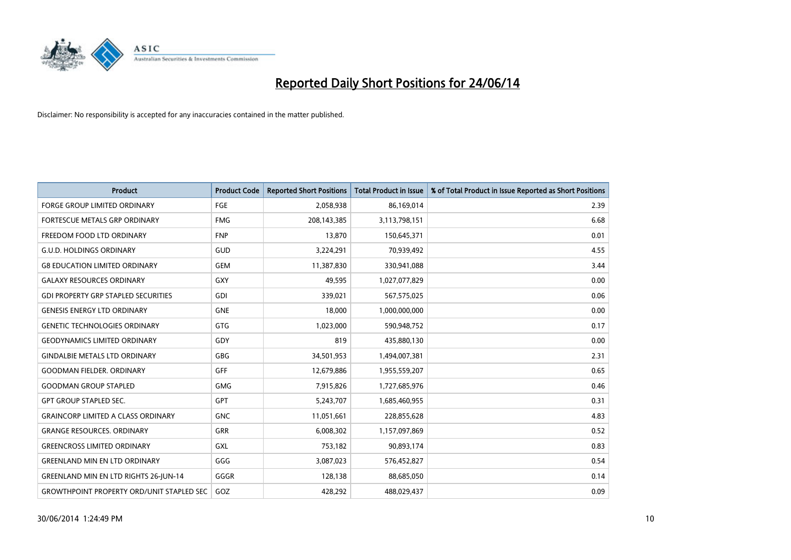

| <b>Product</b>                                   | <b>Product Code</b> | <b>Reported Short Positions</b> | <b>Total Product in Issue</b> | % of Total Product in Issue Reported as Short Positions |
|--------------------------------------------------|---------------------|---------------------------------|-------------------------------|---------------------------------------------------------|
| <b>FORGE GROUP LIMITED ORDINARY</b>              | <b>FGE</b>          | 2,058,938                       | 86,169,014                    | 2.39                                                    |
| FORTESCUE METALS GRP ORDINARY                    | <b>FMG</b>          | 208,143,385                     | 3,113,798,151                 | 6.68                                                    |
| FREEDOM FOOD LTD ORDINARY                        | <b>FNP</b>          | 13,870                          | 150,645,371                   | 0.01                                                    |
| <b>G.U.D. HOLDINGS ORDINARY</b>                  | GUD                 | 3,224,291                       | 70,939,492                    | 4.55                                                    |
| <b>G8 EDUCATION LIMITED ORDINARY</b>             | <b>GEM</b>          | 11,387,830                      | 330,941,088                   | 3.44                                                    |
| <b>GALAXY RESOURCES ORDINARY</b>                 | <b>GXY</b>          | 49,595                          | 1,027,077,829                 | 0.00                                                    |
| <b>GDI PROPERTY GRP STAPLED SECURITIES</b>       | GDI                 | 339,021                         | 567,575,025                   | 0.06                                                    |
| <b>GENESIS ENERGY LTD ORDINARY</b>               | <b>GNE</b>          | 18,000                          | 1,000,000,000                 | 0.00                                                    |
| <b>GENETIC TECHNOLOGIES ORDINARY</b>             | <b>GTG</b>          | 1,023,000                       | 590,948,752                   | 0.17                                                    |
| <b>GEODYNAMICS LIMITED ORDINARY</b>              | GDY                 | 819                             | 435,880,130                   | 0.00                                                    |
| <b>GINDALBIE METALS LTD ORDINARY</b>             | <b>GBG</b>          | 34,501,953                      | 1,494,007,381                 | 2.31                                                    |
| <b>GOODMAN FIELDER, ORDINARY</b>                 | <b>GFF</b>          | 12,679,886                      | 1,955,559,207                 | 0.65                                                    |
| <b>GOODMAN GROUP STAPLED</b>                     | <b>GMG</b>          | 7,915,826                       | 1,727,685,976                 | 0.46                                                    |
| <b>GPT GROUP STAPLED SEC.</b>                    | <b>GPT</b>          | 5,243,707                       | 1,685,460,955                 | 0.31                                                    |
| <b>GRAINCORP LIMITED A CLASS ORDINARY</b>        | <b>GNC</b>          | 11,051,661                      | 228,855,628                   | 4.83                                                    |
| <b>GRANGE RESOURCES. ORDINARY</b>                | GRR                 | 6,008,302                       | 1,157,097,869                 | 0.52                                                    |
| <b>GREENCROSS LIMITED ORDINARY</b>               | <b>GXL</b>          | 753,182                         | 90,893,174                    | 0.83                                                    |
| <b>GREENLAND MIN EN LTD ORDINARY</b>             | GGG                 | 3,087,023                       | 576,452,827                   | 0.54                                                    |
| <b>GREENLAND MIN EN LTD RIGHTS 26-JUN-14</b>     | GGGR                | 128,138                         | 88,685,050                    | 0.14                                                    |
| <b>GROWTHPOINT PROPERTY ORD/UNIT STAPLED SEC</b> | GOZ                 | 428.292                         | 488,029,437                   | 0.09                                                    |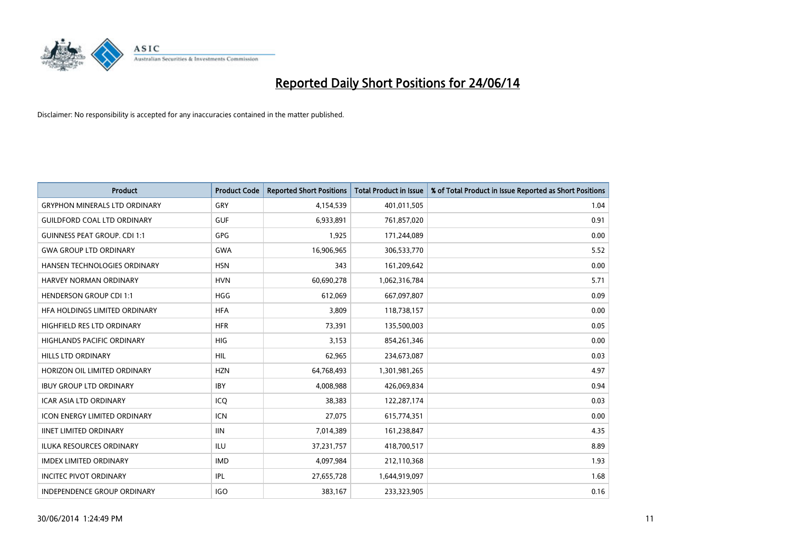

| <b>Product</b>                       | <b>Product Code</b> | <b>Reported Short Positions</b> | <b>Total Product in Issue</b> | % of Total Product in Issue Reported as Short Positions |
|--------------------------------------|---------------------|---------------------------------|-------------------------------|---------------------------------------------------------|
| <b>GRYPHON MINERALS LTD ORDINARY</b> | GRY                 | 4,154,539                       | 401,011,505                   | 1.04                                                    |
| <b>GUILDFORD COAL LTD ORDINARY</b>   | <b>GUF</b>          | 6,933,891                       | 761,857,020                   | 0.91                                                    |
| <b>GUINNESS PEAT GROUP. CDI 1:1</b>  | GPG                 | 1,925                           | 171,244,089                   | 0.00                                                    |
| <b>GWA GROUP LTD ORDINARY</b>        | <b>GWA</b>          | 16,906,965                      | 306,533,770                   | 5.52                                                    |
| HANSEN TECHNOLOGIES ORDINARY         | <b>HSN</b>          | 343                             | 161,209,642                   | 0.00                                                    |
| <b>HARVEY NORMAN ORDINARY</b>        | <b>HVN</b>          | 60,690,278                      | 1,062,316,784                 | 5.71                                                    |
| <b>HENDERSON GROUP CDI 1:1</b>       | HGG                 | 612,069                         | 667,097,807                   | 0.09                                                    |
| HFA HOLDINGS LIMITED ORDINARY        | <b>HFA</b>          | 3,809                           | 118,738,157                   | 0.00                                                    |
| <b>HIGHFIELD RES LTD ORDINARY</b>    | <b>HFR</b>          | 73,391                          | 135,500,003                   | 0.05                                                    |
| <b>HIGHLANDS PACIFIC ORDINARY</b>    | <b>HIG</b>          | 3,153                           | 854,261,346                   | 0.00                                                    |
| HILLS LTD ORDINARY                   | <b>HIL</b>          | 62,965                          | 234,673,087                   | 0.03                                                    |
| HORIZON OIL LIMITED ORDINARY         | <b>HZN</b>          | 64,768,493                      | 1,301,981,265                 | 4.97                                                    |
| <b>IBUY GROUP LTD ORDINARY</b>       | <b>IBY</b>          | 4,008,988                       | 426,069,834                   | 0.94                                                    |
| <b>ICAR ASIA LTD ORDINARY</b>        | ICQ                 | 38,383                          | 122,287,174                   | 0.03                                                    |
| <b>ICON ENERGY LIMITED ORDINARY</b>  | <b>ICN</b>          | 27,075                          | 615,774,351                   | 0.00                                                    |
| <b>IINET LIMITED ORDINARY</b>        | <b>IIN</b>          | 7,014,389                       | 161,238,847                   | 4.35                                                    |
| ILUKA RESOURCES ORDINARY             | ILU                 | 37,231,757                      | 418,700,517                   | 8.89                                                    |
| <b>IMDEX LIMITED ORDINARY</b>        | <b>IMD</b>          | 4,097,984                       | 212,110,368                   | 1.93                                                    |
| <b>INCITEC PIVOT ORDINARY</b>        | IPL                 | 27,655,728                      | 1,644,919,097                 | 1.68                                                    |
| INDEPENDENCE GROUP ORDINARY          | <b>IGO</b>          | 383,167                         | 233,323,905                   | 0.16                                                    |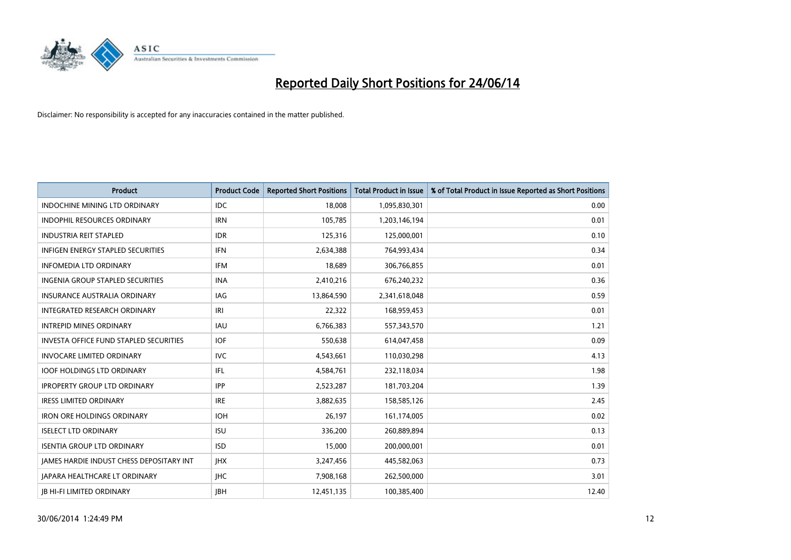

| <b>Product</b>                           | <b>Product Code</b> | <b>Reported Short Positions</b> | <b>Total Product in Issue</b> | % of Total Product in Issue Reported as Short Positions |
|------------------------------------------|---------------------|---------------------------------|-------------------------------|---------------------------------------------------------|
| <b>INDOCHINE MINING LTD ORDINARY</b>     | <b>IDC</b>          | 18,008                          | 1,095,830,301                 | 0.00                                                    |
| INDOPHIL RESOURCES ORDINARY              | <b>IRN</b>          | 105,785                         | 1,203,146,194                 | 0.01                                                    |
| <b>INDUSTRIA REIT STAPLED</b>            | <b>IDR</b>          | 125,316                         | 125,000,001                   | 0.10                                                    |
| INFIGEN ENERGY STAPLED SECURITIES        | <b>IFN</b>          | 2,634,388                       | 764,993,434                   | 0.34                                                    |
| <b>INFOMEDIA LTD ORDINARY</b>            | <b>IFM</b>          | 18,689                          | 306,766,855                   | 0.01                                                    |
| <b>INGENIA GROUP STAPLED SECURITIES</b>  | <b>INA</b>          | 2,410,216                       | 676,240,232                   | 0.36                                                    |
| <b>INSURANCE AUSTRALIA ORDINARY</b>      | IAG                 | 13,864,590                      | 2,341,618,048                 | 0.59                                                    |
| <b>INTEGRATED RESEARCH ORDINARY</b>      | IRI                 | 22,322                          | 168,959,453                   | 0.01                                                    |
| <b>INTREPID MINES ORDINARY</b>           | IAU                 | 6,766,383                       | 557,343,570                   | 1.21                                                    |
| INVESTA OFFICE FUND STAPLED SECURITIES   | IOF.                | 550,638                         | 614,047,458                   | 0.09                                                    |
| <b>INVOCARE LIMITED ORDINARY</b>         | <b>IVC</b>          | 4,543,661                       | 110,030,298                   | 4.13                                                    |
| <b>IOOF HOLDINGS LTD ORDINARY</b>        | IFL                 | 4,584,761                       | 232,118,034                   | 1.98                                                    |
| <b>IPROPERTY GROUP LTD ORDINARY</b>      | <b>IPP</b>          | 2,523,287                       | 181,703,204                   | 1.39                                                    |
| <b>IRESS LIMITED ORDINARY</b>            | <b>IRE</b>          | 3,882,635                       | 158,585,126                   | 2.45                                                    |
| <b>IRON ORE HOLDINGS ORDINARY</b>        | <b>IOH</b>          | 26,197                          | 161,174,005                   | 0.02                                                    |
| <b>ISELECT LTD ORDINARY</b>              | <b>ISU</b>          | 336,200                         | 260,889,894                   | 0.13                                                    |
| <b>ISENTIA GROUP LTD ORDINARY</b>        | <b>ISD</b>          | 15,000                          | 200,000,001                   | 0.01                                                    |
| JAMES HARDIE INDUST CHESS DEPOSITARY INT | <b>IHX</b>          | 3,247,456                       | 445,582,063                   | 0.73                                                    |
| <b>IAPARA HEALTHCARE LT ORDINARY</b>     | <b>IHC</b>          | 7,908,168                       | 262,500,000                   | 3.01                                                    |
| <b>IB HI-FI LIMITED ORDINARY</b>         | <b>IBH</b>          | 12,451,135                      | 100,385,400                   | 12.40                                                   |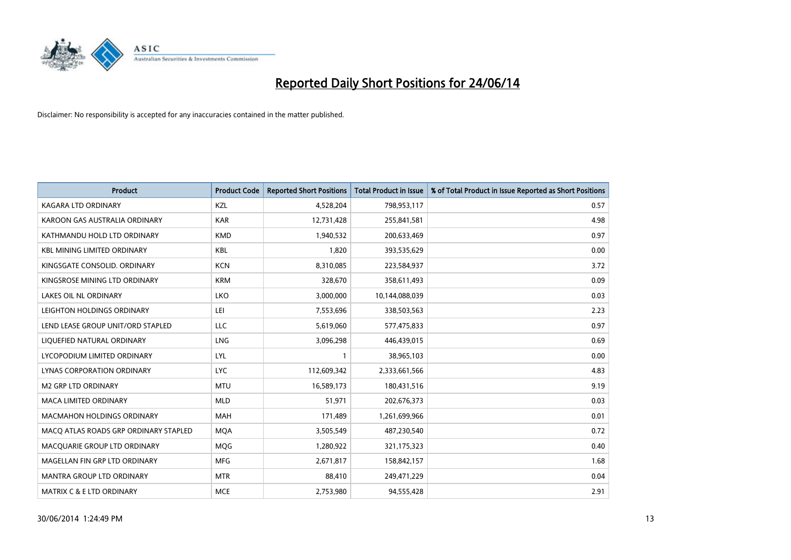

| <b>Product</b>                        | <b>Product Code</b> | <b>Reported Short Positions</b> | <b>Total Product in Issue</b> | % of Total Product in Issue Reported as Short Positions |
|---------------------------------------|---------------------|---------------------------------|-------------------------------|---------------------------------------------------------|
| <b>KAGARA LTD ORDINARY</b>            | KZL                 | 4,528,204                       | 798,953,117                   | 0.57                                                    |
| KAROON GAS AUSTRALIA ORDINARY         | <b>KAR</b>          | 12,731,428                      | 255,841,581                   | 4.98                                                    |
| KATHMANDU HOLD LTD ORDINARY           | <b>KMD</b>          | 1,940,532                       | 200,633,469                   | 0.97                                                    |
| <b>KBL MINING LIMITED ORDINARY</b>    | <b>KBL</b>          | 1,820                           | 393,535,629                   | 0.00                                                    |
| KINGSGATE CONSOLID. ORDINARY          | <b>KCN</b>          | 8,310,085                       | 223,584,937                   | 3.72                                                    |
| KINGSROSE MINING LTD ORDINARY         | <b>KRM</b>          | 328,670                         | 358,611,493                   | 0.09                                                    |
| <b>LAKES OIL NL ORDINARY</b>          | LKO                 | 3,000,000                       | 10,144,088,039                | 0.03                                                    |
| LEIGHTON HOLDINGS ORDINARY            | LEI                 | 7,553,696                       | 338,503,563                   | 2.23                                                    |
| LEND LEASE GROUP UNIT/ORD STAPLED     | <b>LLC</b>          | 5,619,060                       | 577,475,833                   | 0.97                                                    |
| LIQUEFIED NATURAL ORDINARY            | <b>LNG</b>          | 3,096,298                       | 446,439,015                   | 0.69                                                    |
| LYCOPODIUM LIMITED ORDINARY           | LYL                 | 1                               | 38,965,103                    | 0.00                                                    |
| LYNAS CORPORATION ORDINARY            | <b>LYC</b>          | 112,609,342                     | 2,333,661,566                 | 4.83                                                    |
| M2 GRP LTD ORDINARY                   | <b>MTU</b>          | 16,589,173                      | 180,431,516                   | 9.19                                                    |
| <b>MACA LIMITED ORDINARY</b>          | <b>MLD</b>          | 51,971                          | 202,676,373                   | 0.03                                                    |
| MACMAHON HOLDINGS ORDINARY            | <b>MAH</b>          | 171,489                         | 1,261,699,966                 | 0.01                                                    |
| MACO ATLAS ROADS GRP ORDINARY STAPLED | <b>MOA</b>          | 3,505,549                       | 487,230,540                   | 0.72                                                    |
| MACQUARIE GROUP LTD ORDINARY          | <b>MQG</b>          | 1,280,922                       | 321,175,323                   | 0.40                                                    |
| MAGELLAN FIN GRP LTD ORDINARY         | <b>MFG</b>          | 2,671,817                       | 158,842,157                   | 1.68                                                    |
| <b>MANTRA GROUP LTD ORDINARY</b>      | <b>MTR</b>          | 88,410                          | 249,471,229                   | 0.04                                                    |
| <b>MATRIX C &amp; E LTD ORDINARY</b>  | <b>MCE</b>          | 2,753,980                       | 94,555,428                    | 2.91                                                    |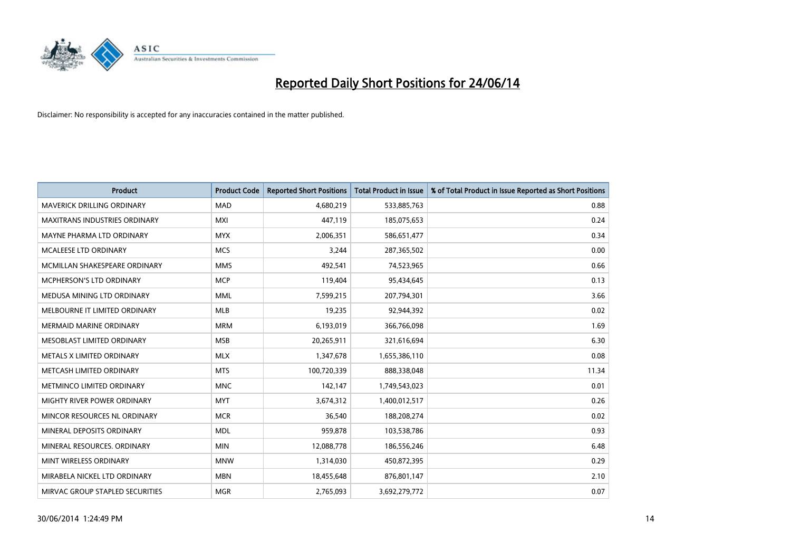

| <b>Product</b>                    | <b>Product Code</b> | <b>Reported Short Positions</b> | <b>Total Product in Issue</b> | % of Total Product in Issue Reported as Short Positions |
|-----------------------------------|---------------------|---------------------------------|-------------------------------|---------------------------------------------------------|
| <b>MAVERICK DRILLING ORDINARY</b> | <b>MAD</b>          | 4,680,219                       | 533,885,763                   | 0.88                                                    |
| MAXITRANS INDUSTRIES ORDINARY     | <b>MXI</b>          | 447,119                         | 185,075,653                   | 0.24                                                    |
| MAYNE PHARMA LTD ORDINARY         | <b>MYX</b>          | 2,006,351                       | 586,651,477                   | 0.34                                                    |
| MCALEESE LTD ORDINARY             | <b>MCS</b>          | 3,244                           | 287,365,502                   | 0.00                                                    |
| MCMILLAN SHAKESPEARE ORDINARY     | <b>MMS</b>          | 492,541                         | 74,523,965                    | 0.66                                                    |
| <b>MCPHERSON'S LTD ORDINARY</b>   | <b>MCP</b>          | 119,404                         | 95,434,645                    | 0.13                                                    |
| MEDUSA MINING LTD ORDINARY        | MML                 | 7,599,215                       | 207,794,301                   | 3.66                                                    |
| MELBOURNE IT LIMITED ORDINARY     | <b>MLB</b>          | 19,235                          | 92,944,392                    | 0.02                                                    |
| <b>MERMAID MARINE ORDINARY</b>    | <b>MRM</b>          | 6,193,019                       | 366,766,098                   | 1.69                                                    |
| MESOBLAST LIMITED ORDINARY        | <b>MSB</b>          | 20,265,911                      | 321,616,694                   | 6.30                                                    |
| METALS X LIMITED ORDINARY         | <b>MLX</b>          | 1,347,678                       | 1,655,386,110                 | 0.08                                                    |
| METCASH LIMITED ORDINARY          | <b>MTS</b>          | 100,720,339                     | 888,338,048                   | 11.34                                                   |
| METMINCO LIMITED ORDINARY         | <b>MNC</b>          | 142,147                         | 1,749,543,023                 | 0.01                                                    |
| MIGHTY RIVER POWER ORDINARY       | <b>MYT</b>          | 3,674,312                       | 1,400,012,517                 | 0.26                                                    |
| MINCOR RESOURCES NL ORDINARY      | <b>MCR</b>          | 36,540                          | 188,208,274                   | 0.02                                                    |
| MINERAL DEPOSITS ORDINARY         | <b>MDL</b>          | 959,878                         | 103,538,786                   | 0.93                                                    |
| MINERAL RESOURCES. ORDINARY       | <b>MIN</b>          | 12,088,778                      | 186,556,246                   | 6.48                                                    |
| MINT WIRELESS ORDINARY            | <b>MNW</b>          | 1,314,030                       | 450,872,395                   | 0.29                                                    |
| MIRABELA NICKEL LTD ORDINARY      | <b>MBN</b>          | 18,455,648                      | 876,801,147                   | 2.10                                                    |
| MIRVAC GROUP STAPLED SECURITIES   | <b>MGR</b>          | 2,765,093                       | 3,692,279,772                 | 0.07                                                    |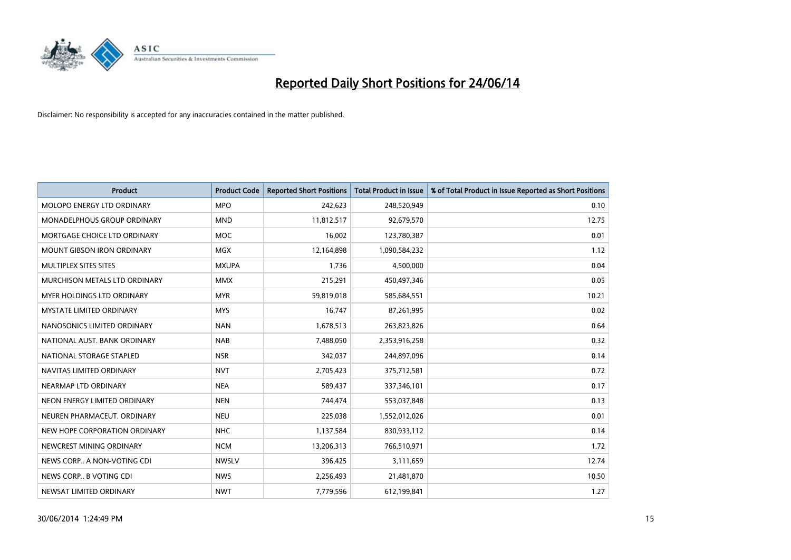

| <b>Product</b>                     | <b>Product Code</b> | <b>Reported Short Positions</b> | <b>Total Product in Issue</b> | % of Total Product in Issue Reported as Short Positions |
|------------------------------------|---------------------|---------------------------------|-------------------------------|---------------------------------------------------------|
| MOLOPO ENERGY LTD ORDINARY         | <b>MPO</b>          | 242,623                         | 248,520,949                   | 0.10                                                    |
| <b>MONADELPHOUS GROUP ORDINARY</b> | <b>MND</b>          | 11,812,517                      | 92,679,570                    | 12.75                                                   |
| MORTGAGE CHOICE LTD ORDINARY       | <b>MOC</b>          | 16,002                          | 123,780,387                   | 0.01                                                    |
| MOUNT GIBSON IRON ORDINARY         | MGX                 | 12,164,898                      | 1,090,584,232                 | 1.12                                                    |
| MULTIPLEX SITES SITES              | <b>MXUPA</b>        | 1,736                           | 4,500,000                     | 0.04                                                    |
| MURCHISON METALS LTD ORDINARY      | <b>MMX</b>          | 215,291                         | 450,497,346                   | 0.05                                                    |
| MYER HOLDINGS LTD ORDINARY         | <b>MYR</b>          | 59,819,018                      | 585,684,551                   | 10.21                                                   |
| <b>MYSTATE LIMITED ORDINARY</b>    | <b>MYS</b>          | 16,747                          | 87,261,995                    | 0.02                                                    |
| NANOSONICS LIMITED ORDINARY        | <b>NAN</b>          | 1,678,513                       | 263,823,826                   | 0.64                                                    |
| NATIONAL AUST, BANK ORDINARY       | <b>NAB</b>          | 7,488,050                       | 2,353,916,258                 | 0.32                                                    |
| NATIONAL STORAGE STAPLED           | <b>NSR</b>          | 342,037                         | 244,897,096                   | 0.14                                                    |
| NAVITAS LIMITED ORDINARY           | <b>NVT</b>          | 2,705,423                       | 375,712,581                   | 0.72                                                    |
| NEARMAP LTD ORDINARY               | <b>NEA</b>          | 589,437                         | 337,346,101                   | 0.17                                                    |
| NEON ENERGY LIMITED ORDINARY       | <b>NEN</b>          | 744,474                         | 553,037,848                   | 0.13                                                    |
| NEUREN PHARMACEUT, ORDINARY        | <b>NEU</b>          | 225,038                         | 1,552,012,026                 | 0.01                                                    |
| NEW HOPE CORPORATION ORDINARY      | <b>NHC</b>          | 1,137,584                       | 830,933,112                   | 0.14                                                    |
| NEWCREST MINING ORDINARY           | <b>NCM</b>          | 13,206,313                      | 766,510,971                   | 1.72                                                    |
| NEWS CORP A NON-VOTING CDI         | <b>NWSLV</b>        | 396,425                         | 3,111,659                     | 12.74                                                   |
| NEWS CORP B VOTING CDI             | <b>NWS</b>          | 2,256,493                       | 21,481,870                    | 10.50                                                   |
| NEWSAT LIMITED ORDINARY            | <b>NWT</b>          | 7,779,596                       | 612,199,841                   | 1.27                                                    |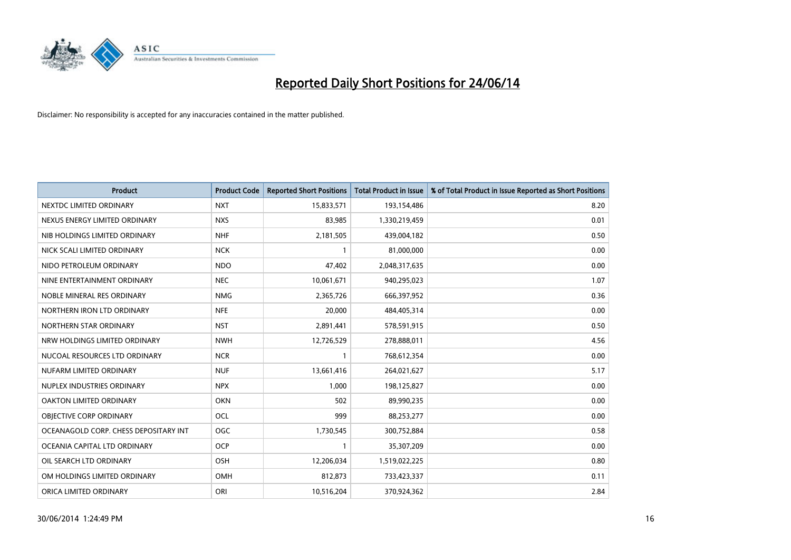

| <b>Product</b>                        | <b>Product Code</b> | <b>Reported Short Positions</b> | <b>Total Product in Issue</b> | % of Total Product in Issue Reported as Short Positions |
|---------------------------------------|---------------------|---------------------------------|-------------------------------|---------------------------------------------------------|
| NEXTDC LIMITED ORDINARY               | <b>NXT</b>          | 15,833,571                      | 193,154,486                   | 8.20                                                    |
| NEXUS ENERGY LIMITED ORDINARY         | <b>NXS</b>          | 83,985                          | 1,330,219,459                 | 0.01                                                    |
| NIB HOLDINGS LIMITED ORDINARY         | <b>NHF</b>          | 2,181,505                       | 439,004,182                   | 0.50                                                    |
| NICK SCALI LIMITED ORDINARY           | <b>NCK</b>          | $\mathbf{1}$                    | 81,000,000                    | 0.00                                                    |
| NIDO PETROLEUM ORDINARY               | <b>NDO</b>          | 47,402                          | 2,048,317,635                 | 0.00                                                    |
| NINE ENTERTAINMENT ORDINARY           | <b>NEC</b>          | 10,061,671                      | 940,295,023                   | 1.07                                                    |
| NOBLE MINERAL RES ORDINARY            | <b>NMG</b>          | 2,365,726                       | 666,397,952                   | 0.36                                                    |
| NORTHERN IRON LTD ORDINARY            | <b>NFE</b>          | 20,000                          | 484,405,314                   | 0.00                                                    |
| NORTHERN STAR ORDINARY                | <b>NST</b>          | 2,891,441                       | 578,591,915                   | 0.50                                                    |
| NRW HOLDINGS LIMITED ORDINARY         | <b>NWH</b>          | 12,726,529                      | 278,888,011                   | 4.56                                                    |
| NUCOAL RESOURCES LTD ORDINARY         | <b>NCR</b>          | 1                               | 768,612,354                   | 0.00                                                    |
| NUFARM LIMITED ORDINARY               | <b>NUF</b>          | 13,661,416                      | 264,021,627                   | 5.17                                                    |
| NUPLEX INDUSTRIES ORDINARY            | <b>NPX</b>          | 1,000                           | 198,125,827                   | 0.00                                                    |
| OAKTON LIMITED ORDINARY               | <b>OKN</b>          | 502                             | 89,990,235                    | 0.00                                                    |
| OBJECTIVE CORP ORDINARY               | <b>OCL</b>          | 999                             | 88,253,277                    | 0.00                                                    |
| OCEANAGOLD CORP. CHESS DEPOSITARY INT | <b>OGC</b>          | 1,730,545                       | 300,752,884                   | 0.58                                                    |
| OCEANIA CAPITAL LTD ORDINARY          | <b>OCP</b>          | $\mathbf{1}$                    | 35,307,209                    | 0.00                                                    |
| OIL SEARCH LTD ORDINARY               | OSH                 | 12,206,034                      | 1,519,022,225                 | 0.80                                                    |
| OM HOLDINGS LIMITED ORDINARY          | OMH                 | 812,873                         | 733,423,337                   | 0.11                                                    |
| ORICA LIMITED ORDINARY                | ORI                 | 10,516,204                      | 370,924,362                   | 2.84                                                    |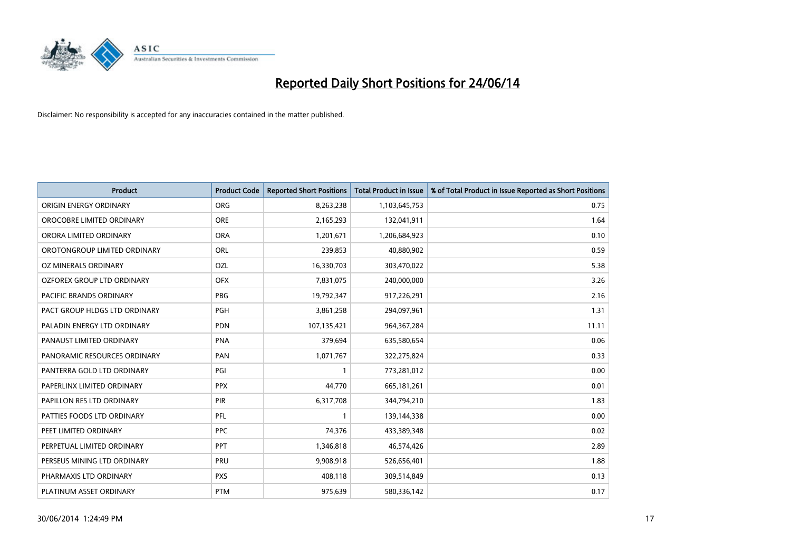

| <b>Product</b>                | <b>Product Code</b> | <b>Reported Short Positions</b> | <b>Total Product in Issue</b> | % of Total Product in Issue Reported as Short Positions |
|-------------------------------|---------------------|---------------------------------|-------------------------------|---------------------------------------------------------|
| ORIGIN ENERGY ORDINARY        | <b>ORG</b>          | 8,263,238                       | 1,103,645,753                 | 0.75                                                    |
| OROCOBRE LIMITED ORDINARY     | <b>ORE</b>          | 2,165,293                       | 132,041,911                   | 1.64                                                    |
| ORORA LIMITED ORDINARY        | <b>ORA</b>          | 1,201,671                       | 1,206,684,923                 | 0.10                                                    |
| OROTONGROUP LIMITED ORDINARY  | ORL                 | 239,853                         | 40,880,902                    | 0.59                                                    |
| OZ MINERALS ORDINARY          | OZL                 | 16,330,703                      | 303,470,022                   | 5.38                                                    |
| OZFOREX GROUP LTD ORDINARY    | <b>OFX</b>          | 7,831,075                       | 240,000,000                   | 3.26                                                    |
| PACIFIC BRANDS ORDINARY       | <b>PBG</b>          | 19,792,347                      | 917,226,291                   | 2.16                                                    |
| PACT GROUP HLDGS LTD ORDINARY | <b>PGH</b>          | 3,861,258                       | 294,097,961                   | 1.31                                                    |
| PALADIN ENERGY LTD ORDINARY   | <b>PDN</b>          | 107,135,421                     | 964, 367, 284                 | 11.11                                                   |
| PANAUST LIMITED ORDINARY      | <b>PNA</b>          | 379,694                         | 635,580,654                   | 0.06                                                    |
| PANORAMIC RESOURCES ORDINARY  | PAN                 | 1,071,767                       | 322,275,824                   | 0.33                                                    |
| PANTERRA GOLD LTD ORDINARY    | PGI                 | $\mathbf{1}$                    | 773,281,012                   | 0.00                                                    |
| PAPERLINX LIMITED ORDINARY    | <b>PPX</b>          | 44,770                          | 665,181,261                   | 0.01                                                    |
| PAPILLON RES LTD ORDINARY     | PIR                 | 6,317,708                       | 344,794,210                   | 1.83                                                    |
| PATTIES FOODS LTD ORDINARY    | PFL                 | $\mathbf{1}$                    | 139,144,338                   | 0.00                                                    |
| PEET LIMITED ORDINARY         | <b>PPC</b>          | 74,376                          | 433,389,348                   | 0.02                                                    |
| PERPETUAL LIMITED ORDINARY    | PPT                 | 1,346,818                       | 46,574,426                    | 2.89                                                    |
| PERSEUS MINING LTD ORDINARY   | <b>PRU</b>          | 9,908,918                       | 526,656,401                   | 1.88                                                    |
| PHARMAXIS LTD ORDINARY        | <b>PXS</b>          | 408,118                         | 309,514,849                   | 0.13                                                    |
| PLATINUM ASSET ORDINARY       | <b>PTM</b>          | 975,639                         | 580,336,142                   | 0.17                                                    |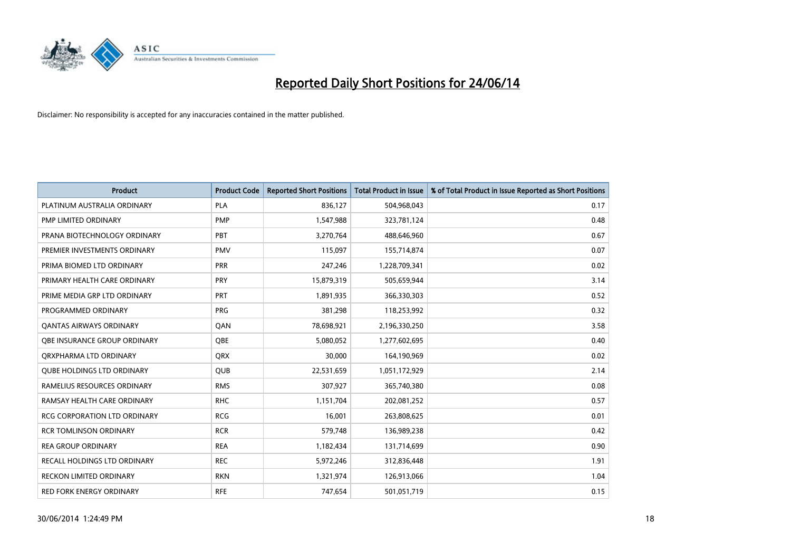

| <b>Product</b>                      | <b>Product Code</b> | <b>Reported Short Positions</b> | <b>Total Product in Issue</b> | % of Total Product in Issue Reported as Short Positions |
|-------------------------------------|---------------------|---------------------------------|-------------------------------|---------------------------------------------------------|
| PLATINUM AUSTRALIA ORDINARY         | <b>PLA</b>          | 836,127                         | 504,968,043                   | 0.17                                                    |
| PMP LIMITED ORDINARY                | <b>PMP</b>          | 1,547,988                       | 323,781,124                   | 0.48                                                    |
| PRANA BIOTECHNOLOGY ORDINARY        | <b>PBT</b>          | 3,270,764                       | 488,646,960                   | 0.67                                                    |
| PREMIER INVESTMENTS ORDINARY        | <b>PMV</b>          | 115,097                         | 155,714,874                   | 0.07                                                    |
| PRIMA BIOMED LTD ORDINARY           | <b>PRR</b>          | 247,246                         | 1,228,709,341                 | 0.02                                                    |
| PRIMARY HEALTH CARE ORDINARY        | <b>PRY</b>          | 15,879,319                      | 505,659,944                   | 3.14                                                    |
| PRIME MEDIA GRP LTD ORDINARY        | <b>PRT</b>          | 1,891,935                       | 366,330,303                   | 0.52                                                    |
| PROGRAMMED ORDINARY                 | <b>PRG</b>          | 381,298                         | 118,253,992                   | 0.32                                                    |
| <b>QANTAS AIRWAYS ORDINARY</b>      | QAN                 | 78,698,921                      | 2,196,330,250                 | 3.58                                                    |
| OBE INSURANCE GROUP ORDINARY        | OBE                 | 5,080,052                       | 1,277,602,695                 | 0.40                                                    |
| ORXPHARMA LTD ORDINARY              | <b>QRX</b>          | 30,000                          | 164,190,969                   | 0.02                                                    |
| <b>QUBE HOLDINGS LTD ORDINARY</b>   | <b>QUB</b>          | 22,531,659                      | 1,051,172,929                 | 2.14                                                    |
| RAMELIUS RESOURCES ORDINARY         | <b>RMS</b>          | 307,927                         | 365,740,380                   | 0.08                                                    |
| RAMSAY HEALTH CARE ORDINARY         | <b>RHC</b>          | 1,151,704                       | 202,081,252                   | 0.57                                                    |
| <b>RCG CORPORATION LTD ORDINARY</b> | <b>RCG</b>          | 16,001                          | 263,808,625                   | 0.01                                                    |
| <b>RCR TOMLINSON ORDINARY</b>       | <b>RCR</b>          | 579,748                         | 136,989,238                   | 0.42                                                    |
| <b>REA GROUP ORDINARY</b>           | <b>REA</b>          | 1,182,434                       | 131,714,699                   | 0.90                                                    |
| RECALL HOLDINGS LTD ORDINARY        | <b>REC</b>          | 5,972,246                       | 312,836,448                   | 1.91                                                    |
| <b>RECKON LIMITED ORDINARY</b>      | <b>RKN</b>          | 1,321,974                       | 126,913,066                   | 1.04                                                    |
| RED FORK ENERGY ORDINARY            | <b>RFE</b>          | 747,654                         | 501,051,719                   | 0.15                                                    |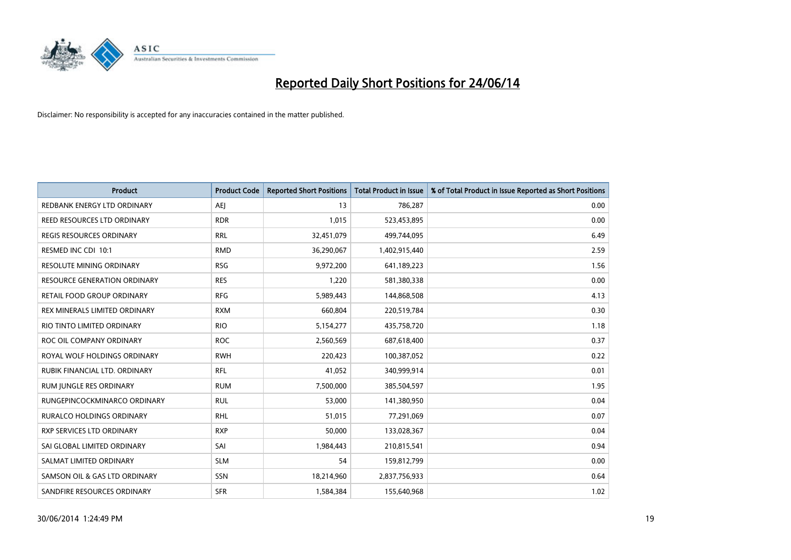

| Product                          | <b>Product Code</b> | <b>Reported Short Positions</b> | <b>Total Product in Issue</b> | % of Total Product in Issue Reported as Short Positions |
|----------------------------------|---------------------|---------------------------------|-------------------------------|---------------------------------------------------------|
| REDBANK ENERGY LTD ORDINARY      | <b>AEJ</b>          | 13                              | 786,287                       | 0.00                                                    |
| REED RESOURCES LTD ORDINARY      | <b>RDR</b>          | 1,015                           | 523,453,895                   | 0.00                                                    |
| REGIS RESOURCES ORDINARY         | <b>RRL</b>          | 32,451,079                      | 499,744,095                   | 6.49                                                    |
| RESMED INC CDI 10:1              | <b>RMD</b>          | 36,290,067                      | 1,402,915,440                 | 2.59                                                    |
| <b>RESOLUTE MINING ORDINARY</b>  | <b>RSG</b>          | 9,972,200                       | 641,189,223                   | 1.56                                                    |
| RESOURCE GENERATION ORDINARY     | <b>RES</b>          | 1,220                           | 581,380,338                   | 0.00                                                    |
| RETAIL FOOD GROUP ORDINARY       | <b>RFG</b>          | 5,989,443                       | 144,868,508                   | 4.13                                                    |
| REX MINERALS LIMITED ORDINARY    | <b>RXM</b>          | 660,804                         | 220,519,784                   | 0.30                                                    |
| RIO TINTO LIMITED ORDINARY       | <b>RIO</b>          | 5,154,277                       | 435,758,720                   | 1.18                                                    |
| ROC OIL COMPANY ORDINARY         | <b>ROC</b>          | 2,560,569                       | 687,618,400                   | 0.37                                                    |
| ROYAL WOLF HOLDINGS ORDINARY     | <b>RWH</b>          | 220,423                         | 100,387,052                   | 0.22                                                    |
| RUBIK FINANCIAL LTD. ORDINARY    | RFL                 | 41,052                          | 340,999,914                   | 0.01                                                    |
| RUM JUNGLE RES ORDINARY          | <b>RUM</b>          | 7,500,000                       | 385,504,597                   | 1.95                                                    |
| RUNGEPINCOCKMINARCO ORDINARY     | <b>RUL</b>          | 53,000                          | 141,380,950                   | 0.04                                                    |
| <b>RURALCO HOLDINGS ORDINARY</b> | <b>RHL</b>          | 51,015                          | 77,291,069                    | 0.07                                                    |
| <b>RXP SERVICES LTD ORDINARY</b> | <b>RXP</b>          | 50,000                          | 133,028,367                   | 0.04                                                    |
| SAI GLOBAL LIMITED ORDINARY      | SAI                 | 1,984,443                       | 210,815,541                   | 0.94                                                    |
| SALMAT LIMITED ORDINARY          | <b>SLM</b>          | 54                              | 159,812,799                   | 0.00                                                    |
| SAMSON OIL & GAS LTD ORDINARY    | SSN                 | 18,214,960                      | 2,837,756,933                 | 0.64                                                    |
| SANDFIRE RESOURCES ORDINARY      | <b>SFR</b>          | 1,584,384                       | 155,640,968                   | 1.02                                                    |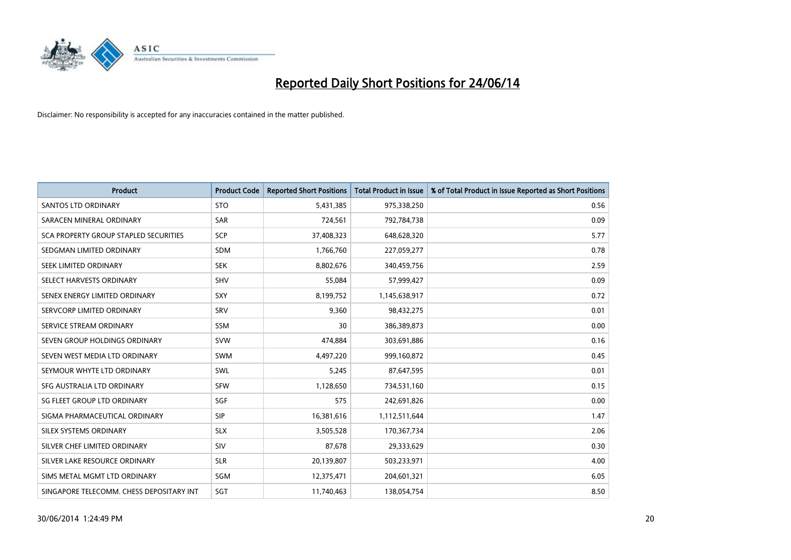

| <b>Product</b>                           | <b>Product Code</b> | <b>Reported Short Positions</b> | <b>Total Product in Issue</b> | % of Total Product in Issue Reported as Short Positions |
|------------------------------------------|---------------------|---------------------------------|-------------------------------|---------------------------------------------------------|
| <b>SANTOS LTD ORDINARY</b>               | <b>STO</b>          | 5,431,385                       | 975,338,250                   | 0.56                                                    |
| SARACEN MINERAL ORDINARY                 | <b>SAR</b>          | 724,561                         | 792,784,738                   | 0.09                                                    |
| SCA PROPERTY GROUP STAPLED SECURITIES    | <b>SCP</b>          | 37,408,323                      | 648,628,320                   | 5.77                                                    |
| SEDGMAN LIMITED ORDINARY                 | <b>SDM</b>          | 1,766,760                       | 227,059,277                   | 0.78                                                    |
| SEEK LIMITED ORDINARY                    | <b>SEK</b>          | 8,802,676                       | 340,459,756                   | 2.59                                                    |
| SELECT HARVESTS ORDINARY                 | SHV                 | 55,084                          | 57,999,427                    | 0.09                                                    |
| SENEX ENERGY LIMITED ORDINARY            | <b>SXY</b>          | 8,199,752                       | 1,145,638,917                 | 0.72                                                    |
| SERVCORP LIMITED ORDINARY                | SRV                 | 9,360                           | 98,432,275                    | 0.01                                                    |
| SERVICE STREAM ORDINARY                  | SSM                 | 30                              | 386,389,873                   | 0.00                                                    |
| SEVEN GROUP HOLDINGS ORDINARY            | <b>SVW</b>          | 474,884                         | 303,691,886                   | 0.16                                                    |
| SEVEN WEST MEDIA LTD ORDINARY            | <b>SWM</b>          | 4,497,220                       | 999,160,872                   | 0.45                                                    |
| SEYMOUR WHYTE LTD ORDINARY               | SWL                 | 5,245                           | 87,647,595                    | 0.01                                                    |
| SFG AUSTRALIA LTD ORDINARY               | <b>SFW</b>          | 1,128,650                       | 734,531,160                   | 0.15                                                    |
| SG FLEET GROUP LTD ORDINARY              | SGF                 | 575                             | 242,691,826                   | 0.00                                                    |
| SIGMA PHARMACEUTICAL ORDINARY            | <b>SIP</b>          | 16,381,616                      | 1,112,511,644                 | 1.47                                                    |
| SILEX SYSTEMS ORDINARY                   | <b>SLX</b>          | 3,505,528                       | 170,367,734                   | 2.06                                                    |
| SILVER CHEF LIMITED ORDINARY             | SIV                 | 87,678                          | 29,333,629                    | 0.30                                                    |
| SILVER LAKE RESOURCE ORDINARY            | <b>SLR</b>          | 20,139,807                      | 503,233,971                   | 4.00                                                    |
| SIMS METAL MGMT LTD ORDINARY             | SGM                 | 12,375,471                      | 204,601,321                   | 6.05                                                    |
| SINGAPORE TELECOMM. CHESS DEPOSITARY INT | SGT                 | 11,740,463                      | 138,054,754                   | 8.50                                                    |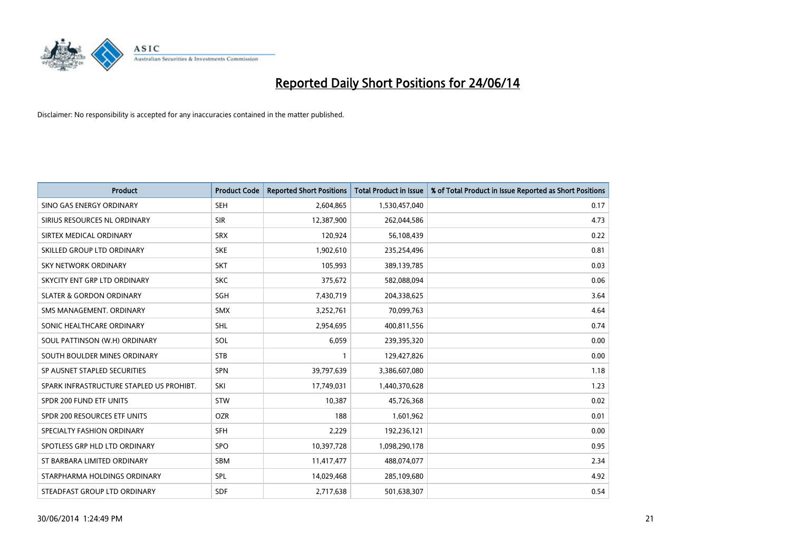

| <b>Product</b>                           | <b>Product Code</b> | <b>Reported Short Positions</b> | <b>Total Product in Issue</b> | % of Total Product in Issue Reported as Short Positions |
|------------------------------------------|---------------------|---------------------------------|-------------------------------|---------------------------------------------------------|
| SINO GAS ENERGY ORDINARY                 | <b>SEH</b>          | 2,604,865                       | 1,530,457,040                 | 0.17                                                    |
| SIRIUS RESOURCES NL ORDINARY             | <b>SIR</b>          | 12,387,900                      | 262,044,586                   | 4.73                                                    |
| SIRTEX MEDICAL ORDINARY                  | <b>SRX</b>          | 120,924                         | 56,108,439                    | 0.22                                                    |
| SKILLED GROUP LTD ORDINARY               | <b>SKE</b>          | 1,902,610                       | 235,254,496                   | 0.81                                                    |
| <b>SKY NETWORK ORDINARY</b>              | <b>SKT</b>          | 105,993                         | 389,139,785                   | 0.03                                                    |
| SKYCITY ENT GRP LTD ORDINARY             | <b>SKC</b>          | 375,672                         | 582,088,094                   | 0.06                                                    |
| <b>SLATER &amp; GORDON ORDINARY</b>      | <b>SGH</b>          | 7,430,719                       | 204,338,625                   | 3.64                                                    |
| SMS MANAGEMENT, ORDINARY                 | SMX                 | 3,252,761                       | 70,099,763                    | 4.64                                                    |
| SONIC HEALTHCARE ORDINARY                | <b>SHL</b>          | 2,954,695                       | 400,811,556                   | 0.74                                                    |
| SOUL PATTINSON (W.H) ORDINARY            | SOL                 | 6,059                           | 239,395,320                   | 0.00                                                    |
| SOUTH BOULDER MINES ORDINARY             | <b>STB</b>          |                                 | 129,427,826                   | 0.00                                                    |
| SP AUSNET STAPLED SECURITIES             | <b>SPN</b>          | 39,797,639                      | 3,386,607,080                 | 1.18                                                    |
| SPARK INFRASTRUCTURE STAPLED US PROHIBT. | SKI                 | 17,749,031                      | 1,440,370,628                 | 1.23                                                    |
| SPDR 200 FUND ETF UNITS                  | STW                 | 10,387                          | 45,726,368                    | 0.02                                                    |
| SPDR 200 RESOURCES ETF UNITS             | <b>OZR</b>          | 188                             | 1,601,962                     | 0.01                                                    |
| SPECIALTY FASHION ORDINARY               | SFH                 | 2,229                           | 192,236,121                   | 0.00                                                    |
| SPOTLESS GRP HLD LTD ORDINARY            | SPO                 | 10,397,728                      | 1,098,290,178                 | 0.95                                                    |
| ST BARBARA LIMITED ORDINARY              | <b>SBM</b>          | 11,417,477                      | 488,074,077                   | 2.34                                                    |
| STARPHARMA HOLDINGS ORDINARY             | <b>SPL</b>          | 14,029,468                      | 285,109,680                   | 4.92                                                    |
| STEADFAST GROUP LTD ORDINARY             | <b>SDF</b>          | 2,717,638                       | 501,638,307                   | 0.54                                                    |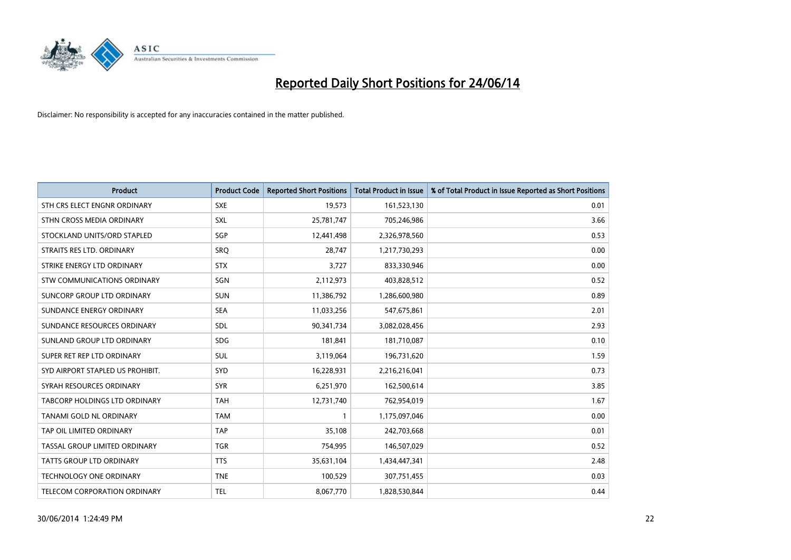

| <b>Product</b>                       | <b>Product Code</b> | <b>Reported Short Positions</b> | <b>Total Product in Issue</b> | % of Total Product in Issue Reported as Short Positions |
|--------------------------------------|---------------------|---------------------------------|-------------------------------|---------------------------------------------------------|
| STH CRS ELECT ENGNR ORDINARY         | <b>SXE</b>          | 19,573                          | 161,523,130                   | 0.01                                                    |
| STHN CROSS MEDIA ORDINARY            | <b>SXL</b>          | 25,781,747                      | 705,246,986                   | 3.66                                                    |
| STOCKLAND UNITS/ORD STAPLED          | SGP                 | 12,441,498                      | 2,326,978,560                 | 0.53                                                    |
| STRAITS RES LTD. ORDINARY            | <b>SRQ</b>          | 28,747                          | 1,217,730,293                 | 0.00                                                    |
| STRIKE ENERGY LTD ORDINARY           | <b>STX</b>          | 3,727                           | 833,330,946                   | 0.00                                                    |
| STW COMMUNICATIONS ORDINARY          | SGN                 | 2,112,973                       | 403,828,512                   | 0.52                                                    |
| SUNCORP GROUP LTD ORDINARY           | <b>SUN</b>          | 11,386,792                      | 1,286,600,980                 | 0.89                                                    |
| SUNDANCE ENERGY ORDINARY             | <b>SEA</b>          | 11,033,256                      | 547,675,861                   | 2.01                                                    |
| SUNDANCE RESOURCES ORDINARY          | SDL                 | 90,341,734                      | 3,082,028,456                 | 2.93                                                    |
| SUNLAND GROUP LTD ORDINARY           | <b>SDG</b>          | 181,841                         | 181,710,087                   | 0.10                                                    |
| SUPER RET REP LTD ORDINARY           | SUL                 | 3,119,064                       | 196,731,620                   | 1.59                                                    |
| SYD AIRPORT STAPLED US PROHIBIT.     | <b>SYD</b>          | 16,228,931                      | 2,216,216,041                 | 0.73                                                    |
| SYRAH RESOURCES ORDINARY             | <b>SYR</b>          | 6,251,970                       | 162,500,614                   | 3.85                                                    |
| <b>TABCORP HOLDINGS LTD ORDINARY</b> | <b>TAH</b>          | 12,731,740                      | 762,954,019                   | 1.67                                                    |
| TANAMI GOLD NL ORDINARY              | <b>TAM</b>          | $\mathbf{1}$                    | 1,175,097,046                 | 0.00                                                    |
| TAP OIL LIMITED ORDINARY             | <b>TAP</b>          | 35,108                          | 242,703,668                   | 0.01                                                    |
| TASSAL GROUP LIMITED ORDINARY        | <b>TGR</b>          | 754,995                         | 146,507,029                   | 0.52                                                    |
| <b>TATTS GROUP LTD ORDINARY</b>      | <b>TTS</b>          | 35,631,104                      | 1,434,447,341                 | 2.48                                                    |
| <b>TECHNOLOGY ONE ORDINARY</b>       | <b>TNE</b>          | 100,529                         | 307,751,455                   | 0.03                                                    |
| TELECOM CORPORATION ORDINARY         | <b>TEL</b>          | 8,067,770                       | 1,828,530,844                 | 0.44                                                    |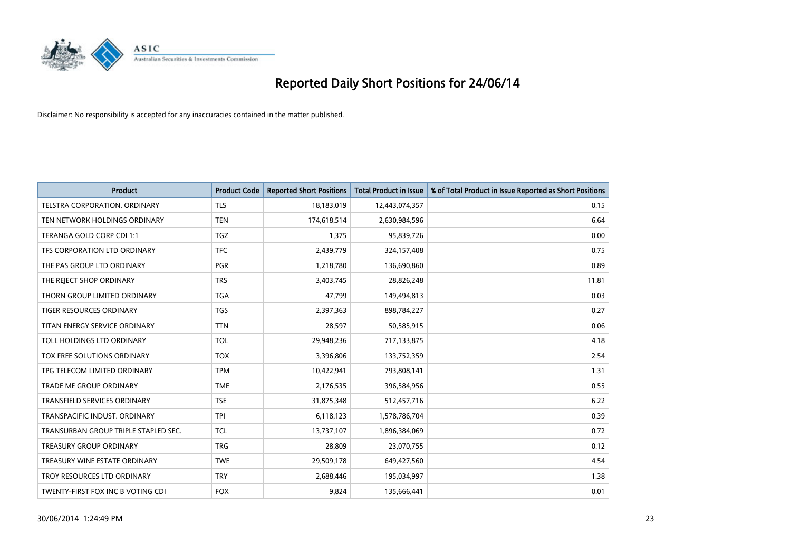

| <b>Product</b>                       | <b>Product Code</b> | <b>Reported Short Positions</b> | <b>Total Product in Issue</b> | % of Total Product in Issue Reported as Short Positions |
|--------------------------------------|---------------------|---------------------------------|-------------------------------|---------------------------------------------------------|
| <b>TELSTRA CORPORATION, ORDINARY</b> | <b>TLS</b>          | 18,183,019                      | 12,443,074,357                | 0.15                                                    |
| TEN NETWORK HOLDINGS ORDINARY        | <b>TEN</b>          | 174,618,514                     | 2,630,984,596                 | 6.64                                                    |
| TERANGA GOLD CORP CDI 1:1            | <b>TGZ</b>          | 1,375                           | 95,839,726                    | 0.00                                                    |
| TFS CORPORATION LTD ORDINARY         | <b>TFC</b>          | 2,439,779                       | 324,157,408                   | 0.75                                                    |
| THE PAS GROUP LTD ORDINARY           | <b>PGR</b>          | 1,218,780                       | 136,690,860                   | 0.89                                                    |
| THE REJECT SHOP ORDINARY             | <b>TRS</b>          | 3,403,745                       | 28,826,248                    | 11.81                                                   |
| THORN GROUP LIMITED ORDINARY         | <b>TGA</b>          | 47.799                          | 149,494,813                   | 0.03                                                    |
| TIGER RESOURCES ORDINARY             | <b>TGS</b>          | 2,397,363                       | 898,784,227                   | 0.27                                                    |
| TITAN ENERGY SERVICE ORDINARY        | <b>TTN</b>          | 28,597                          | 50,585,915                    | 0.06                                                    |
| TOLL HOLDINGS LTD ORDINARY           | <b>TOL</b>          | 29,948,236                      | 717,133,875                   | 4.18                                                    |
| TOX FREE SOLUTIONS ORDINARY          | <b>TOX</b>          | 3,396,806                       | 133,752,359                   | 2.54                                                    |
| TPG TELECOM LIMITED ORDINARY         | <b>TPM</b>          | 10,422,941                      | 793,808,141                   | 1.31                                                    |
| TRADE ME GROUP ORDINARY              | <b>TME</b>          | 2,176,535                       | 396,584,956                   | 0.55                                                    |
| <b>TRANSFIELD SERVICES ORDINARY</b>  | <b>TSE</b>          | 31,875,348                      | 512,457,716                   | 6.22                                                    |
| TRANSPACIFIC INDUST. ORDINARY        | <b>TPI</b>          | 6,118,123                       | 1,578,786,704                 | 0.39                                                    |
| TRANSURBAN GROUP TRIPLE STAPLED SEC. | <b>TCL</b>          | 13,737,107                      | 1,896,384,069                 | 0.72                                                    |
| TREASURY GROUP ORDINARY              | <b>TRG</b>          | 28,809                          | 23,070,755                    | 0.12                                                    |
| TREASURY WINE ESTATE ORDINARY        | <b>TWE</b>          | 29,509,178                      | 649,427,560                   | 4.54                                                    |
| TROY RESOURCES LTD ORDINARY          | <b>TRY</b>          | 2,688,446                       | 195,034,997                   | 1.38                                                    |
| TWENTY-FIRST FOX INC B VOTING CDI    | <b>FOX</b>          | 9,824                           | 135,666,441                   | 0.01                                                    |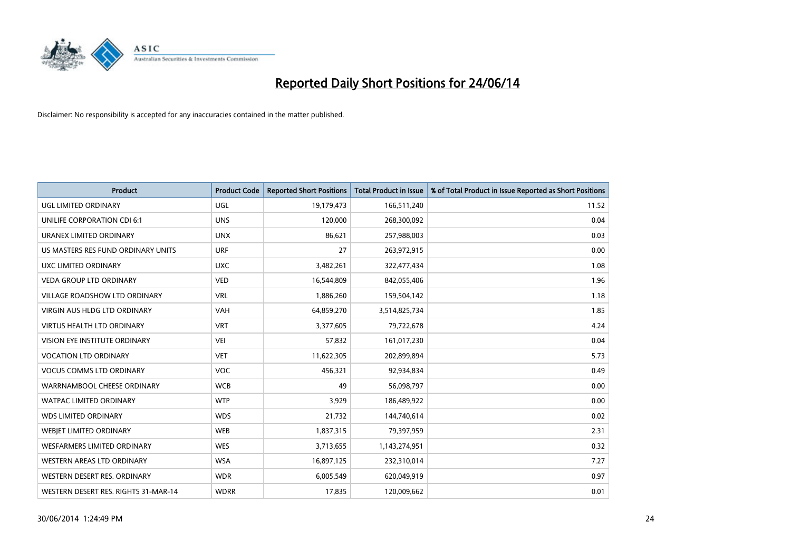

| <b>Product</b>                       | <b>Product Code</b> | <b>Reported Short Positions</b> | <b>Total Product in Issue</b> | % of Total Product in Issue Reported as Short Positions |
|--------------------------------------|---------------------|---------------------------------|-------------------------------|---------------------------------------------------------|
| <b>UGL LIMITED ORDINARY</b>          | UGL                 | 19,179,473                      | 166,511,240                   | 11.52                                                   |
| UNILIFE CORPORATION CDI 6:1          | <b>UNS</b>          | 120,000                         | 268,300,092                   | 0.04                                                    |
| URANEX LIMITED ORDINARY              | <b>UNX</b>          | 86,621                          | 257,988,003                   | 0.03                                                    |
| US MASTERS RES FUND ORDINARY UNITS   | <b>URF</b>          | 27                              | 263,972,915                   | 0.00                                                    |
| <b>UXC LIMITED ORDINARY</b>          | <b>UXC</b>          | 3,482,261                       | 322,477,434                   | 1.08                                                    |
| <b>VEDA GROUP LTD ORDINARY</b>       | <b>VED</b>          | 16,544,809                      | 842,055,406                   | 1.96                                                    |
| VILLAGE ROADSHOW LTD ORDINARY        | <b>VRL</b>          | 1,886,260                       | 159,504,142                   | 1.18                                                    |
| <b>VIRGIN AUS HLDG LTD ORDINARY</b>  | <b>VAH</b>          | 64,859,270                      | 3,514,825,734                 | 1.85                                                    |
| VIRTUS HEALTH LTD ORDINARY           | <b>VRT</b>          | 3,377,605                       | 79,722,678                    | 4.24                                                    |
| VISION EYE INSTITUTE ORDINARY        | <b>VEI</b>          | 57,832                          | 161,017,230                   | 0.04                                                    |
| <b>VOCATION LTD ORDINARY</b>         | <b>VET</b>          | 11,622,305                      | 202,899,894                   | 5.73                                                    |
| <b>VOCUS COMMS LTD ORDINARY</b>      | <b>VOC</b>          | 456,321                         | 92,934,834                    | 0.49                                                    |
| WARRNAMBOOL CHEESE ORDINARY          | <b>WCB</b>          | 49                              | 56,098,797                    | 0.00                                                    |
| <b>WATPAC LIMITED ORDINARY</b>       | <b>WTP</b>          | 3,929                           | 186,489,922                   | 0.00                                                    |
| <b>WDS LIMITED ORDINARY</b>          | <b>WDS</b>          | 21,732                          | 144,740,614                   | 0.02                                                    |
| WEBJET LIMITED ORDINARY              | <b>WEB</b>          | 1,837,315                       | 79,397,959                    | 2.31                                                    |
| <b>WESFARMERS LIMITED ORDINARY</b>   | <b>WES</b>          | 3,713,655                       | 1,143,274,951                 | 0.32                                                    |
| WESTERN AREAS LTD ORDINARY           | <b>WSA</b>          | 16,897,125                      | 232,310,014                   | 7.27                                                    |
| WESTERN DESERT RES. ORDINARY         | <b>WDR</b>          | 6,005,549                       | 620,049,919                   | 0.97                                                    |
| WESTERN DESERT RES. RIGHTS 31-MAR-14 | <b>WDRR</b>         | 17,835                          | 120,009,662                   | 0.01                                                    |